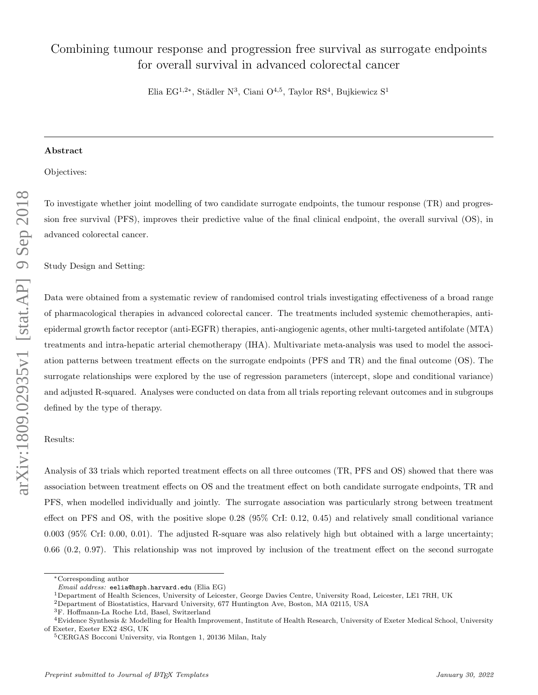# Combining tumour response and progression free survival as surrogate endpoints for overall survival in advanced colorectal cancer

Elia EG<sup>1,2∗</sup>, Städler N<sup>3</sup>, Ciani O<sup>4,5</sup>, Taylor RS<sup>4</sup>, Bujkiewicz S<sup>1</sup>

#### Abstract

Objectives:

To investigate whether joint modelling of two candidate surrogate endpoints, the tumour response (TR) and progression free survival (PFS), improves their predictive value of the final clinical endpoint, the overall survival (OS), in advanced colorectal cancer.

Study Design and Setting:

Data were obtained from a systematic review of randomised control trials investigating effectiveness of a broad range of pharmacological therapies in advanced colorectal cancer. The treatments included systemic chemotherapies, antiepidermal growth factor receptor (anti-EGFR) therapies, anti-angiogenic agents, other multi-targeted antifolate (MTA) treatments and intra-hepatic arterial chemotherapy (IHA). Multivariate meta-analysis was used to model the association patterns between treatment effects on the surrogate endpoints (PFS and TR) and the final outcome (OS). The surrogate relationships were explored by the use of regression parameters (intercept, slope and conditional variance) and adjusted R-squared. Analyses were conducted on data from all trials reporting relevant outcomes and in subgroups defined by the type of therapy.

#### Results:

Analysis of 33 trials which reported treatment effects on all three outcomes (TR, PFS and OS) showed that there was association between treatment effects on OS and the treatment effect on both candidate surrogate endpoints, TR and PFS, when modelled individually and jointly. The surrogate association was particularly strong between treatment effect on PFS and OS, with the positive slope 0.28 (95% CrI: 0.12, 0.45) and relatively small conditional variance 0.003 (95% CrI: 0.00, 0.01). The adjusted R-square was also relatively high but obtained with a large uncertainty; 0.66 (0.2, 0.97). This relationship was not improved by inclusion of the treatment effect on the second surrogate

<sup>∗</sup>Corresponding author

Email address: eelia@hsph.harvard.edu (Elia EG)

<sup>1</sup>Department of Health Sciences, University of Leicester, George Davies Centre, University Road, Leicester, LE1 7RH, UK

<sup>2</sup>Department of Biostatistics, Harvard University, 677 Huntington Ave, Boston, MA 02115, USA

<sup>3</sup>F. Hoffmann-La Roche Ltd, Basel, Switzerland

<sup>4</sup>Evidence Synthesis & Modelling for Health Improvement, Institute of Health Research, University of Exeter Medical School, University of Exeter, Exeter EX2 4SG, UK

<sup>5</sup>CERGAS Bocconi University, via Rontgen 1, 20136 Milan, Italy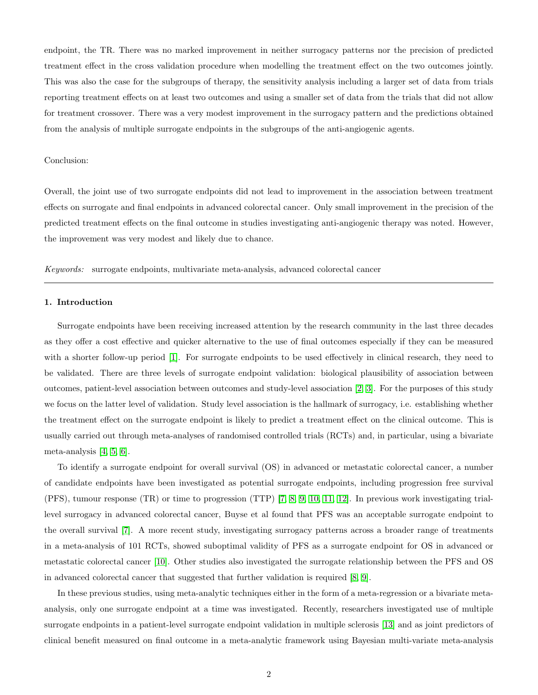endpoint, the TR. There was no marked improvement in neither surrogacy patterns nor the precision of predicted treatment effect in the cross validation procedure when modelling the treatment effect on the two outcomes jointly. This was also the case for the subgroups of therapy, the sensitivity analysis including a larger set of data from trials reporting treatment effects on at least two outcomes and using a smaller set of data from the trials that did not allow for treatment crossover. There was a very modest improvement in the surrogacy pattern and the predictions obtained from the analysis of multiple surrogate endpoints in the subgroups of the anti-angiogenic agents.

### Conclusion:

Overall, the joint use of two surrogate endpoints did not lead to improvement in the association between treatment effects on surrogate and final endpoints in advanced colorectal cancer. Only small improvement in the precision of the predicted treatment effects on the final outcome in studies investigating anti-angiogenic therapy was noted. However, the improvement was very modest and likely due to chance.

Keywords: surrogate endpoints, multivariate meta-analysis, advanced colorectal cancer

#### 1. Introduction

Surrogate endpoints have been receiving increased attention by the research community in the last three decades as they offer a cost effective and quicker alternative to the use of final outcomes especially if they can be measured with a shorter follow-up period [\[1\]](#page-12-0). For surrogate endpoints to be used effectively in clinical research, they need to be validated. There are three levels of surrogate endpoint validation: biological plausibility of association between outcomes, patient-level association between outcomes and study-level association [\[2,](#page-12-1) [3\]](#page-12-2). For the purposes of this study we focus on the latter level of validation. Study level association is the hallmark of surrogacy, i.e. establishing whether the treatment effect on the surrogate endpoint is likely to predict a treatment effect on the clinical outcome. This is usually carried out through meta-analyses of randomised controlled trials (RCTs) and, in particular, using a bivariate meta-analysis [\[4,](#page-12-3) [5,](#page-12-4) [6\]](#page-12-5).

To identify a surrogate endpoint for overall survival (OS) in advanced or metastatic colorectal cancer, a number of candidate endpoints have been investigated as potential surrogate endpoints, including progression free survival (PFS), tumour response (TR) or time to progression (TTP) [\[7,](#page-12-6) [8,](#page-12-7) [9,](#page-12-8) [10,](#page-12-9) [11,](#page-12-10) [12\]](#page-12-11). In previous work investigating triallevel surrogacy in advanced colorectal cancer, Buyse et al found that PFS was an acceptable surrogate endpoint to the overall survival [\[7\]](#page-12-6). A more recent study, investigating surrogacy patterns across a broader range of treatments in a meta-analysis of 101 RCTs, showed suboptimal validity of PFS as a surrogate endpoint for OS in advanced or metastatic colorectal cancer [\[10\]](#page-12-9). Other studies also investigated the surrogate relationship between the PFS and OS in advanced colorectal cancer that suggested that further validation is required [\[8,](#page-12-7) [9\]](#page-12-8).

In these previous studies, using meta-analytic techniques either in the form of a meta-regression or a bivariate metaanalysis, only one surrogate endpoint at a time was investigated. Recently, researchers investigated use of multiple surrogate endpoints in a patient-level surrogate endpoint validation in multiple sclerosis [\[13\]](#page-13-0) and as joint predictors of clinical benefit measured on final outcome in a meta-analytic framework using Bayesian multi-variate meta-analysis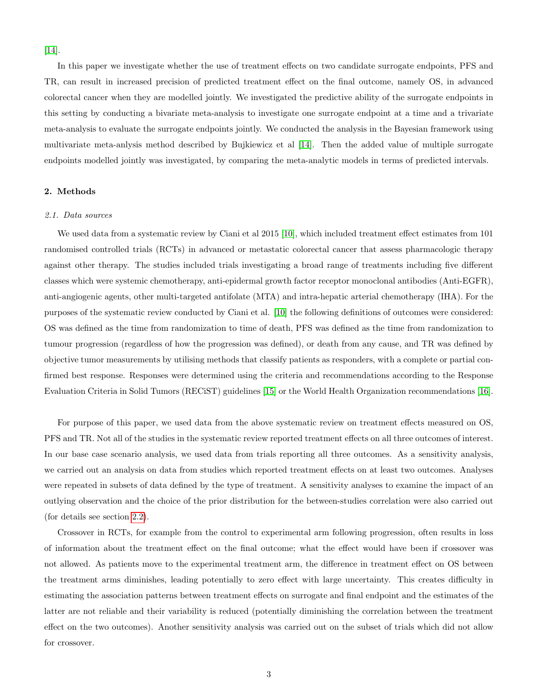[\[14\]](#page-13-1).

In this paper we investigate whether the use of treatment effects on two candidate surrogate endpoints, PFS and TR, can result in increased precision of predicted treatment effect on the final outcome, namely OS, in advanced colorectal cancer when they are modelled jointly. We investigated the predictive ability of the surrogate endpoints in this setting by conducting a bivariate meta-analysis to investigate one surrogate endpoint at a time and a trivariate meta-analysis to evaluate the surrogate endpoints jointly. We conducted the analysis in the Bayesian framework using multivariate meta-anlysis method described by Bujkiewicz et al [\[14\]](#page-13-1). Then the added value of multiple surrogate endpoints modelled jointly was investigated, by comparing the meta-analytic models in terms of predicted intervals.

#### 2. Methods

#### 2.1. Data sources

We used data from a systematic review by Ciani et al 2015 [\[10\]](#page-12-9), which included treatment effect estimates from 101 randomised controlled trials (RCTs) in advanced or metastatic colorectal cancer that assess pharmacologic therapy against other therapy. The studies included trials investigating a broad range of treatments including five different classes which were systemic chemotherapy, anti-epidermal growth factor receptor monoclonal antibodies (Anti-EGFR), anti-angiogenic agents, other multi-targeted antifolate (MTA) and intra-hepatic arterial chemotherapy (IHA). For the purposes of the systematic review conducted by Ciani et al. [\[10\]](#page-12-9) the following definitions of outcomes were considered: OS was defined as the time from randomization to time of death, PFS was defined as the time from randomization to tumour progression (regardless of how the progression was defined), or death from any cause, and TR was defined by objective tumor measurements by utilising methods that classify patients as responders, with a complete or partial confirmed best response. Responses were determined using the criteria and recommendations according to the Response Evaluation Criteria in Solid Tumors (RECiST) guidelines [\[15\]](#page-13-2) or the World Health Organization recommendations [\[16\]](#page-13-3).

For purpose of this paper, we used data from the above systematic review on treatment effects measured on OS, PFS and TR. Not all of the studies in the systematic review reported treatment effects on all three outcomes of interest. In our base case scenario analysis, we used data from trials reporting all three outcomes. As a sensitivity analysis, we carried out an analysis on data from studies which reported treatment effects on at least two outcomes. Analyses were repeated in subsets of data defined by the type of treatment. A sensitivity analyses to examine the impact of an outlying observation and the choice of the prior distribution for the between-studies correlation were also carried out (for details see section [2.2\)](#page-3-0).

Crossover in RCTs, for example from the control to experimental arm following progression, often results in loss of information about the treatment effect on the final outcome; what the effect would have been if crossover was not allowed. As patients move to the experimental treatment arm, the difference in treatment effect on OS between the treatment arms diminishes, leading potentially to zero effect with large uncertainty. This creates difficulty in estimating the association patterns between treatment effects on surrogate and final endpoint and the estimates of the latter are not reliable and their variability is reduced (potentially diminishing the correlation between the treatment effect on the two outcomes). Another sensitivity analysis was carried out on the subset of trials which did not allow for crossover.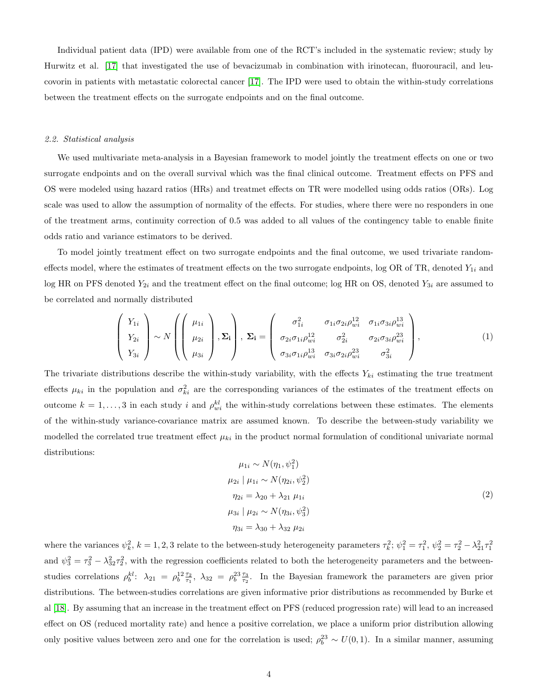Individual patient data (IPD) were available from one of the RCT's included in the systematic review; study by Hurwitz et al. [\[17\]](#page-13-4) that investigated the use of bevacizumab in combination with irinotecan, fluorouracil, and leucovorin in patients with metastatic colorectal cancer [\[17\]](#page-13-4). The IPD were used to obtain the within-study correlations between the treatment effects on the surrogate endpoints and on the final outcome.

#### <span id="page-3-0"></span>2.2. Statistical analysis

We used multivariate meta-analysis in a Bayesian framework to model jointly the treatment effects on one or two surrogate endpoints and on the overall survival which was the final clinical outcome. Treatment effects on PFS and OS were modeled using hazard ratios (HRs) and treatmet effects on TR were modelled using odds ratios (ORs). Log scale was used to allow the assumption of normality of the effects. For studies, where there were no responders in one of the treatment arms, continuity correction of 0.5 was added to all values of the contingency table to enable finite odds ratio and variance estimators to be derived.

To model jointly treatment effect on two surrogate endpoints and the final outcome, we used trivariate randomeffects model, where the estimates of treatment effects on the two surrogate endpoints, log OR of TR, denoted  $Y_{1i}$  and log HR on PFS denoted  $Y_{2i}$  and the treatment effect on the final outcome; log HR on OS, denoted  $Y_{3i}$  are assumed to be correlated and normally distributed

<span id="page-3-1"></span>
$$
\begin{pmatrix}\nY_{1i} \\
Y_{2i} \\
Y_{3i}\n\end{pmatrix}\n\sim N\left(\begin{pmatrix}\n\mu_{1i} \\
\mu_{2i} \\
\mu_{3i}\n\end{pmatrix}, \Sigma_{\mathbf{i}}\right), \Sigma_{\mathbf{i}} = \begin{pmatrix}\n\sigma_{1i}^{2} & \sigma_{1i}\sigma_{2i}\rho_{wi}^{12} & \sigma_{1i}\sigma_{3i}\rho_{wi}^{13} \\
\sigma_{2i}\sigma_{1i}\rho_{wi}^{12} & \sigma_{2i}^{2} & \sigma_{2i}\sigma_{3i}\rho_{wi}^{23} \\
\sigma_{3i}\sigma_{1i}\rho_{wi}^{13} & \sigma_{3i}\sigma_{2i}\rho_{wi}^{23} & \sigma_{3i}^{2}\n\end{pmatrix},
$$
\n(1)

The trivariate distributions describe the within-study variability, with the effects  $Y_{ki}$  estimating the true treatment effects  $\mu_{ki}$  in the population and  $\sigma_{ki}^2$  are the corresponding variances of the estimates of the treatment effects on outcome  $k = 1, \ldots, 3$  in each study i and  $\rho_{wi}^{kl}$  the within-study correlations between these estimates. The elements of the within-study variance-covariance matrix are assumed known. To describe the between-study variability we modelled the correlated true treatment effect  $\mu_{ki}$  in the product normal formulation of conditional univariate normal distributions:

<span id="page-3-2"></span>
$$
\mu_{1i} \sim N(\eta_1, \psi_1^2) \n\mu_{2i} | \mu_{1i} \sim N(\eta_{2i}, \psi_2^2) \n\eta_{2i} = \lambda_{20} + \lambda_{21} \mu_{1i} \n\mu_{3i} | \mu_{2i} \sim N(\eta_{3i}, \psi_3^2) \n\eta_{3i} = \lambda_{30} + \lambda_{32} \mu_{2i}
$$
\n(2)

where the variances  $\psi_k^2$ ,  $k = 1, 2, 3$  relate to the between-study heterogeneity parameters  $\tau_k^2$ ;  $\psi_1^2 = \tau_1^2$ ,  $\psi_2^2 = \tau_2^2 - \lambda_{21}^2 \tau_1^2$ and  $\psi_3^2 = \tau_3^2 - \lambda_{32}^2 \tau_2^2$ , with the regression coefficients related to both the heterogeneity parameters and the betweenstudies correlations  $\rho_b^{kl}$ :  $\lambda_{21} = \rho_b^{12} \frac{\tau_2}{\tau_1}$ ,  $\lambda_{32} = \rho_b^{23} \frac{\tau_3}{\tau_2}$ . In the Bayesian framework the parameters are given prior distributions. The between-studies correlations are given informative prior distributions as recommended by Burke et al [\[18\]](#page-13-5). By assuming that an increase in the treatment effect on PFS (reduced progression rate) will lead to an increased effect on OS (reduced mortality rate) and hence a positive correlation, we place a uniform prior distribution allowing only positive values between zero and one for the correlation is used;  $\rho_b^{23} \sim U(0,1)$ . In a similar manner, assuming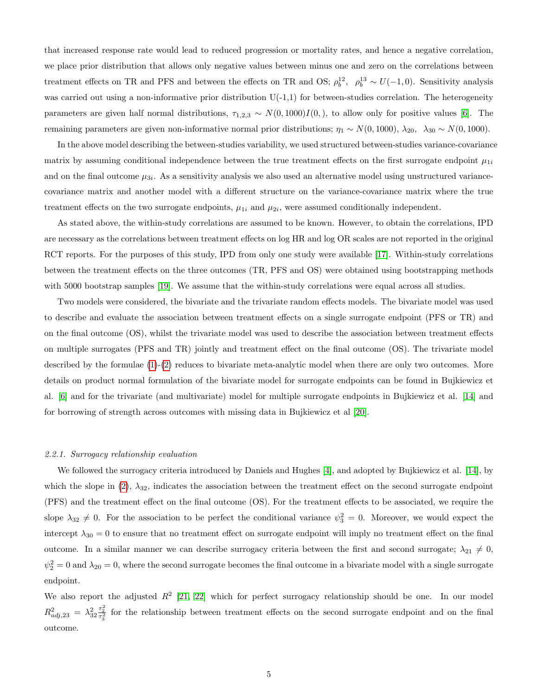that increased response rate would lead to reduced progression or mortality rates, and hence a negative correlation, we place prior distribution that allows only negative values between minus one and zero on the correlations between treatment effects on TR and PFS and between the effects on TR and OS;  $\rho_b^{12}$ ,  $\rho_b^{13} \sim U(-1,0)$ . Sensitivity analysis was carried out using a non-informative prior distribution  $U(-1,1)$  for between-studies correlation. The heterogeneity parameters are given half normal distributions,  $\tau_{1,2,3} \sim N(0, 1000)I(0,)$ , to allow only for positive values [\[6\]](#page-12-5). The remaining parameters are given non-informative normal prior distributions;  $\eta_1 \sim N(0, 1000)$ ,  $\lambda_{20}$ ,  $\lambda_{30} \sim N(0, 1000)$ .

In the above model describing the between-studies variability, we used structured between-studies variance-covariance matrix by assuming conditional independence between the true treatment effects on the first surrogate endpoint  $\mu_{1i}$ and on the final outcome  $\mu_{3i}$ . As a sensitivity analysis we also used an alternative model using unstructured variancecovariance matrix and another model with a different structure on the variance-covariance matrix where the true treatment effects on the two surrogate endpoints,  $\mu_{1i}$  and  $\mu_{2i}$ , were assumed conditionally independent.

As stated above, the within-study correlations are assumed to be known. However, to obtain the correlations, IPD are necessary as the correlations between treatment effects on log HR and log OR scales are not reported in the original RCT reports. For the purposes of this study, IPD from only one study were available [\[17\]](#page-13-4). Within-study correlations between the treatment effects on the three outcomes (TR, PFS and OS) were obtained using bootstrapping methods with 5000 bootstrap samples [\[19\]](#page-13-6). We assume that the within-study correlations were equal across all studies.

Two models were considered, the bivariate and the trivariate random effects models. The bivariate model was used to describe and evaluate the association between treatment effects on a single surrogate endpoint (PFS or TR) and on the final outcome (OS), whilst the trivariate model was used to describe the association between treatment effects on multiple surrogates (PFS and TR) jointly and treatment effect on the final outcome (OS). The trivariate model described by the formulae [\(1\)](#page-3-1)-[\(2\)](#page-3-2) reduces to bivariate meta-analytic model when there are only two outcomes. More details on product normal formulation of the bivariate model for surrogate endpoints can be found in Bujkiewicz et al. [\[6\]](#page-12-5) and for the trivariate (and multivariate) model for multiple surrogate endpoints in Bujkiewicz et al. [\[14\]](#page-13-1) and for borrowing of strength across outcomes with missing data in Bujkiewicz et al [\[20\]](#page-13-7).

#### 2.2.1. Surrogacy relationship evaluation

We followed the surrogacy criteria introduced by Daniels and Hughes [\[4\]](#page-12-3), and adopted by Bujkiewicz et al. [\[14\]](#page-13-1), by which the slope in [\(2\)](#page-3-2),  $\lambda_{32}$ , indicates the association between the treatment effect on the second surrogate endpoint (PFS) and the treatment effect on the final outcome (OS). For the treatment effects to be associated, we require the slope  $\lambda_{32} \neq 0$ . For the association to be perfect the conditional variance  $\psi_3^2 = 0$ . Moreover, we would expect the intercept  $\lambda_{30} = 0$  to ensure that no treatment effect on surrogate endpoint will imply no treatment effect on the final outcome. In a similar manner we can describe surrogacy criteria between the first and second surrogate;  $\lambda_{21} \neq 0$ ,  $\psi_2^2 = 0$  and  $\lambda_{20} = 0$ , where the second surrogate becomes the final outcome in a bivariate model with a single surrogate endpoint.

We also report the adjusted  $R^2$  [\[21,](#page-13-8) [22\]](#page-13-9) which for perfect surrogacy relationship should be one. In our model  $R^2_{adj,23} = \lambda_{32}^2 \frac{\tau_2^2}{\tau_3^2}$  for the relationship between treatment effects on the second surrogate endpoint and on the final outcome.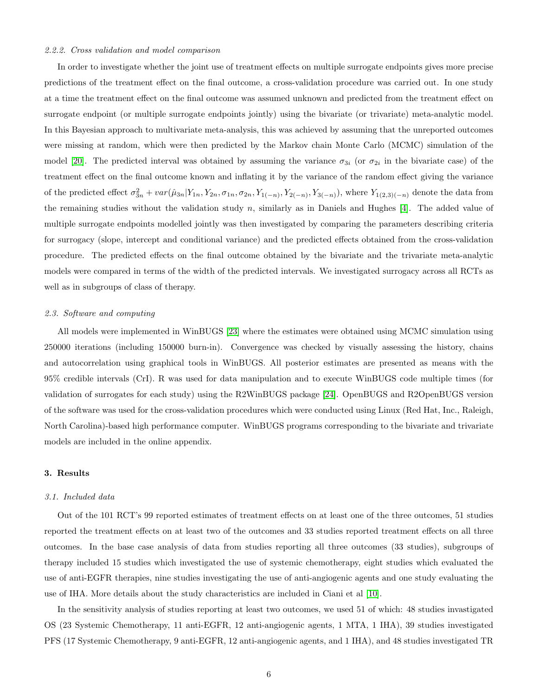#### 2.2.2. Cross validation and model comparison

In order to investigate whether the joint use of treatment effects on multiple surrogate endpoints gives more precise predictions of the treatment effect on the final outcome, a cross-validation procedure was carried out. In one study at a time the treatment effect on the final outcome was assumed unknown and predicted from the treatment effect on surrogate endpoint (or multiple surrogate endpoints jointly) using the bivariate (or trivariate) meta-analytic model. In this Bayesian approach to multivariate meta-analysis, this was achieved by assuming that the unreported outcomes were missing at random, which were then predicted by the Markov chain Monte Carlo (MCMC) simulation of the model [\[20\]](#page-13-7). The predicted interval was obtained by assuming the variance  $\sigma_{3i}$  (or  $\sigma_{2i}$  in the bivariate case) of the treatment effect on the final outcome known and inflating it by the variance of the random effect giving the variance of the predicted effect  $\sigma_{3n}^2 + var(\hat{\mu}_{3n}|Y_{1n}, Y_{2n}, \sigma_{1n}, \sigma_{2n}, Y_{1(-n)}, Y_{2(-n)}, Y_{3(-n)})$ , where  $Y_{1(2,3)(-n)}$  denote the data from the remaining studies without the validation study n, similarly as in Daniels and Hughes  $[4]$ . The added value of multiple surrogate endpoints modelled jointly was then investigated by comparing the parameters describing criteria for surrogacy (slope, intercept and conditional variance) and the predicted effects obtained from the cross-validation procedure. The predicted effects on the final outcome obtained by the bivariate and the trivariate meta-analytic models were compared in terms of the width of the predicted intervals. We investigated surrogacy across all RCTs as well as in subgroups of class of therapy.

#### 2.3. Software and computing

All models were implemented in WinBUGS [\[23\]](#page-13-10) where the estimates were obtained using MCMC simulation using 250000 iterations (including 150000 burn-in). Convergence was checked by visually assessing the history, chains and autocorrelation using graphical tools in WinBUGS. All posterior estimates are presented as means with the 95% credible intervals (CrI). R was used for data manipulation and to execute WinBUGS code multiple times (for validation of surrogates for each study) using the R2WinBUGS package [\[24\]](#page-13-11). OpenBUGS and R2OpenBUGS version of the software was used for the cross-validation procedures which were conducted using Linux (Red Hat, Inc., Raleigh, North Carolina)-based high performance computer. WinBUGS programs corresponding to the bivariate and trivariate models are included in the online appendix.

#### 3. Results

#### 3.1. Included data

Out of the 101 RCT's 99 reported estimates of treatment effects on at least one of the three outcomes, 51 studies reported the treatment effects on at least two of the outcomes and 33 studies reported treatment effects on all three outcomes. In the base case analysis of data from studies reporting all three outcomes (33 studies), subgroups of therapy included 15 studies which investigated the use of systemic chemotherapy, eight studies which evaluated the use of anti-EGFR therapies, nine studies investigating the use of anti-angiogenic agents and one study evaluating the use of IHA. More details about the study characteristics are included in Ciani et al [\[10\]](#page-12-9).

In the sensitivity analysis of studies reporting at least two outcomes, we used 51 of which: 48 studies invastigated OS (23 Systemic Chemotherapy, 11 anti-EGFR, 12 anti-angiogenic agents, 1 MTA, 1 IHA), 39 studies investigated PFS (17 Systemic Chemotherapy, 9 anti-EGFR, 12 anti-angiogenic agents, and 1 IHA), and 48 studies investigated TR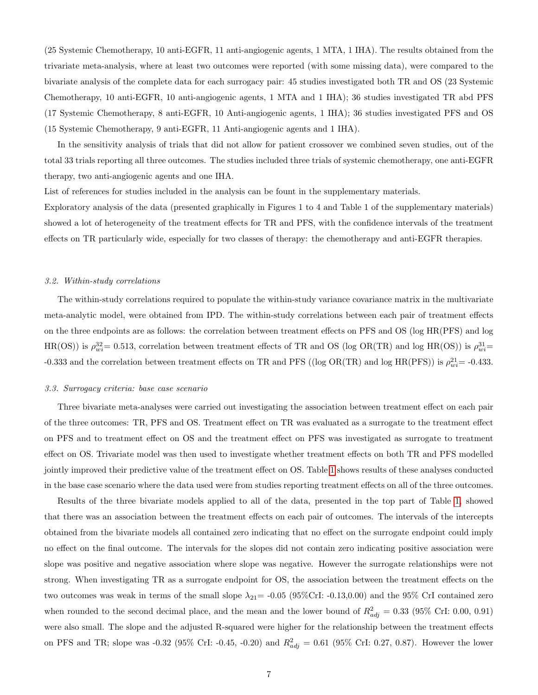(25 Systemic Chemotherapy, 10 anti-EGFR, 11 anti-angiogenic agents, 1 MTA, 1 IHA). The results obtained from the trivariate meta-analysis, where at least two outcomes were reported (with some missing data), were compared to the bivariate analysis of the complete data for each surrogacy pair: 45 studies investigated both TR and OS (23 Systemic Chemotherapy, 10 anti-EGFR, 10 anti-angiogenic agents, 1 MTA and 1 IHA); 36 studies investigated TR abd PFS (17 Systemic Chemotherapy, 8 anti-EGFR, 10 Anti-angiogenic agents, 1 IHA); 36 studies investigated PFS and OS (15 Systemic Chemotherapy, 9 anti-EGFR, 11 Anti-angiogenic agents and 1 IHA).

In the sensitivity analysis of trials that did not allow for patient crossover we combined seven studies, out of the total 33 trials reporting all three outcomes. The studies included three trials of systemic chemotherapy, one anti-EGFR therapy, two anti-angiogenic agents and one IHA.

List of references for studies included in the analysis can be fount in the supplementary materials.

Exploratory analysis of the data (presented graphically in Figures 1 to 4 and Table 1 of the supplementary materials) showed a lot of heterogeneity of the treatment effects for TR and PFS, with the confidence intervals of the treatment effects on TR particularly wide, especially for two classes of therapy: the chemotherapy and anti-EGFR therapies.

#### 3.2. Within-study correlations

The within-study correlations required to populate the within-study variance covariance matrix in the multivariate meta-analytic model, were obtained from IPD. The within-study correlations between each pair of treatment effects on the three endpoints are as follows: the correlation between treatment effects on PFS and OS (log HR(PFS) and log  $HR(OS)$ ) is  $\rho_{wi}^{32} = 0.513$ , correlation between treatment effects of TR and OS (log OR(TR) and log HR(OS)) is  $\rho_{wi}^{31} =$ -0.333 and the correlation between treatment effects on TR and PFS ((log OR(TR) and log HR(PFS)) is  $\rho_{wi}^{21}$  = -0.433.

#### 3.3. Surrogacy criteria: base case scenario

Three bivariate meta-analyses were carried out investigating the association between treatment effect on each pair of the three outcomes: TR, PFS and OS. Treatment effect on TR was evaluated as a surrogate to the treatment effect on PFS and to treatment effect on OS and the treatment effect on PFS was investigated as surrogate to treatment effect on OS. Trivariate model was then used to investigate whether treatment effects on both TR and PFS modelled jointly improved their predictive value of the treatment effect on OS. Table [1](#page-7-0) shows results of these analyses conducted in the base case scenario where the data used were from studies reporting treatment effects on all of the three outcomes.

Results of the three bivariate models applied to all of the data, presented in the top part of Table [1,](#page-7-0) showed that there was an association between the treatment effects on each pair of outcomes. The intervals of the intercepts obtained from the bivariate models all contained zero indicating that no effect on the surrogate endpoint could imply no effect on the final outcome. The intervals for the slopes did not contain zero indicating positive association were slope was positive and negative association where slope was negative. However the surrogate relationships were not strong. When investigating TR as a surrogate endpoint for OS, the association between the treatment effects on the two outcomes was weak in terms of the small slope  $\lambda_{21}$  = -0.05 (95%CrI: -0.13,0.00) and the 95% CrI contained zero when rounded to the second decimal place, and the mean and the lower bound of  $R_{adj}^2 = 0.33$  (95% CrI: 0.00, 0.91) were also small. The slope and the adjusted R-squared were higher for the relationship between the treatment effects on PFS and TR; slope was -0.32 (95% CrI: -0.45, -0.20) and  $R_{adj}^2 = 0.61$  (95% CrI: 0.27, 0.87). However the lower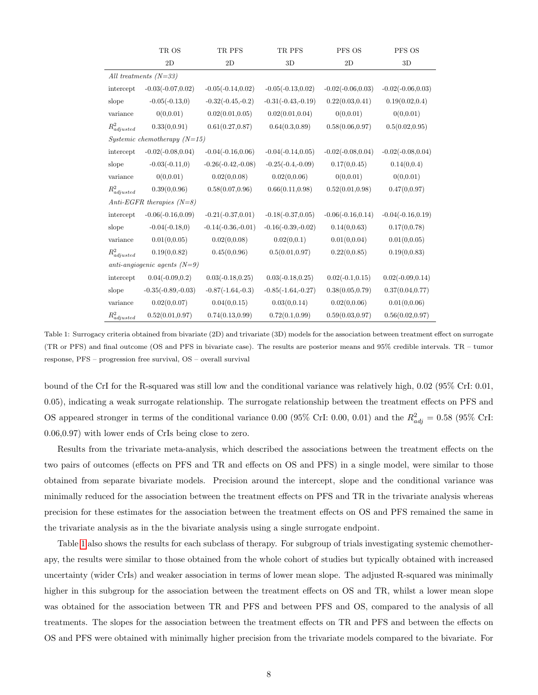|                            | TR OS                          | TR PFS               | TR PFS               | PFS OS               | PFS OS               |
|----------------------------|--------------------------------|----------------------|----------------------|----------------------|----------------------|
|                            | 2D                             | 2D                   | 3D                   | 2D                   | 3D                   |
|                            | All treatments $(N=33)$        |                      |                      |                      |                      |
| intercept                  | $-0.03(-0.07, 0.02)$           | $-0.05(-0.14, 0.02)$ | $-0.05(-0.13, 0.02)$ | $-0.02(-0.06, 0.03)$ | $-0.02(-0.06, 0.03)$ |
| slope                      | $-0.05(-0.13,0)$               | $-0.32(-0.45,-0.2)$  | $-0.31(-0.43,-0.19)$ | 0.22(0.03, 0.41)     | 0.19(0.02, 0.4)      |
| variance                   | 0(0,0.01)                      | 0.02(0.01, 0.05)     | 0.02(0.01, 0.04)     | 0(0,0.01)            | 0(0, 0.01)           |
| $R^2_{adjusted}$           | 0.33(0, 0.91)                  | 0.61(0.27, 0.87)     | 0.64(0.3, 0.89)      | 0.58(0.06, 0.97)     | 0.5(0.02, 0.95)      |
|                            | Systemic chemotherapy $(N=15)$ |                      |                      |                      |                      |
| intercept                  | $-0.02(-0.08, 0.04)$           | $-0.04(-0.16, 0.06)$ | $-0.04(-0.14, 0.05)$ | $-0.02(-0.08, 0.04)$ | $-0.02(-0.08, 0.04)$ |
| slope                      | $-0.03(-0.11,0)$               | $-0.26(-0.42,-0.08)$ | $-0.25(-0.4,-0.09)$  | 0.17(0, 0.45)        | 0.14(0,0.4)          |
| variance                   | 0(0,0.01)                      | 0.02(0, 0.08)        | 0.02(0, 0.06)        | 0(0, 0.01)           | 0(0, 0.01)           |
| $R^2_{adjusted}$           | 0.39(0, 0.96)                  | 0.58(0.07, 0.96)     | 0.66(0.11, 0.98)     | 0.52(0.01, 0.98)     | 0.47(0,0.97)         |
|                            | $Anti-EGFR$ therapies $(N=8)$  |                      |                      |                      |                      |
| intercept                  | $-0.06(-0.16, 0.09)$           | $-0.21(-0.37, 0.01)$ | $-0.18(-0.37, 0.05)$ | $-0.06(-0.16, 0.14)$ | $-0.04(-0.16, 0.19)$ |
| slope                      | $-0.04(-0.18,0)$               | $-0.14(-0.36,-0.01)$ | $-0.16(-0.39,-0.02)$ | 0.14(0, 0.63)        | 0.17(0, 0.78)        |
| variance                   | 0.01(0, 0.05)                  | 0.02(0,0.08)         | 0.02(0,0.1)          | 0.01(0, 0.04)        | 0.01(0, 0.05)        |
| $\mathcal{R}^2_{adjusted}$ | 0.19(0, 0.82)                  | 0.45(0,0.96)         | 0.5(0.01, 0.97)      | 0.22(0, 0.85)        | 0.19(0, 0.83)        |
|                            | anti-angiogenic agents $(N=9)$ |                      |                      |                      |                      |
| intercept                  | $0.04(-0.09, 0.2)$             | $0.03(-0.18, 0.25)$  | $0.03(-0.18, 0.25)$  | $0.02(-0.1, 0.15)$   | $0.02(-0.09, 0.14)$  |
| slope                      | $-0.35(-0.89,-0.03)$           | $-0.87(-1.64,-0.3)$  | $-0.85(-1.64,-0.27)$ | 0.38(0.05, 0.79)     | 0.37(0.04, 0.77)     |
| variance                   | 0.02(0, 0.07)                  | 0.04(0, 0.15)        | 0.03(0, 0.14)        | 0.02(0,0.06)         | 0.01(0, 0.06)        |
| $R^2_{adjusted}$           | 0.52(0.01, 0.97)               | 0.74(0.13, 0.99)     | 0.72(0.1, 0.99)      | 0.59(0.03, 0.97)     | 0.56(0.02, 0.97)     |

<span id="page-7-0"></span>Table 1: Surrogacy criteria obtained from bivariate (2D) and trivariate (3D) models for the association between treatment effect on surrogate (TR or PFS) and final outcome (OS and PFS in bivariate case). The results are posterior means and 95% credible intervals. TR – tumor response, PFS – progression free survival, OS – overall survival

bound of the CrI for the R-squared was still low and the conditional variance was relatively high, 0.02 (95% CrI: 0.01, 0.05), indicating a weak surrogate relationship. The surrogate relationship between the treatment effects on PFS and OS appeared stronger in terms of the conditional variance 0.00 (95% CrI: 0.00, 0.01) and the  $R_{adj}^2 = 0.58$  (95% CrI: 0.06,0.97) with lower ends of CrIs being close to zero.

Results from the trivariate meta-analysis, which described the associations between the treatment effects on the two pairs of outcomes (effects on PFS and TR and effects on OS and PFS) in a single model, were similar to those obtained from separate bivariate models. Precision around the intercept, slope and the conditional variance was minimally reduced for the association between the treatment effects on PFS and TR in the trivariate analysis whereas precision for these estimates for the association between the treatment effects on OS and PFS remained the same in the trivariate analysis as in the the bivariate analysis using a single surrogate endpoint.

Table [1](#page-7-0) also shows the results for each subclass of therapy. For subgroup of trials investigating systemic chemotherapy, the results were similar to those obtained from the whole cohort of studies but typically obtained with increased uncertainty (wider CrIs) and weaker association in terms of lower mean slope. The adjusted R-squared was minimally higher in this subgroup for the association between the treatment effects on OS and TR, whilst a lower mean slope was obtained for the association between TR and PFS and between PFS and OS, compared to the analysis of all treatments. The slopes for the association between the treatment effects on TR and PFS and between the effects on OS and PFS were obtained with minimally higher precision from the trivariate models compared to the bivariate. For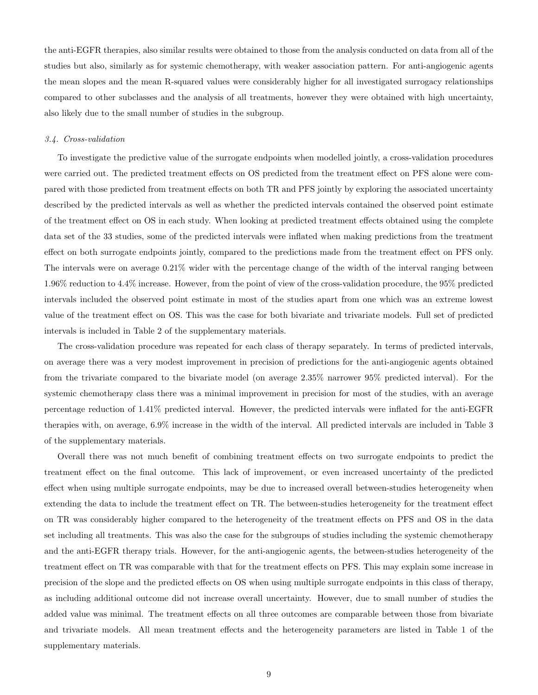the anti-EGFR therapies, also similar results were obtained to those from the analysis conducted on data from all of the studies but also, similarly as for systemic chemotherapy, with weaker association pattern. For anti-angiogenic agents the mean slopes and the mean R-squared values were considerably higher for all investigated surrogacy relationships compared to other subclasses and the analysis of all treatments, however they were obtained with high uncertainty, also likely due to the small number of studies in the subgroup.

#### 3.4. Cross-validation

To investigate the predictive value of the surrogate endpoints when modelled jointly, a cross-validation procedures were carried out. The predicted treatment effects on OS predicted from the treatment effect on PFS alone were compared with those predicted from treatment effects on both TR and PFS jointly by exploring the associated uncertainty described by the predicted intervals as well as whether the predicted intervals contained the observed point estimate of the treatment effect on OS in each study. When looking at predicted treatment effects obtained using the complete data set of the 33 studies, some of the predicted intervals were inflated when making predictions from the treatment effect on both surrogate endpoints jointly, compared to the predictions made from the treatment effect on PFS only. The intervals were on average 0.21% wider with the percentage change of the width of the interval ranging between 1.96% reduction to 4.4% increase. However, from the point of view of the cross-validation procedure, the 95% predicted intervals included the observed point estimate in most of the studies apart from one which was an extreme lowest value of the treatment effect on OS. This was the case for both bivariate and trivariate models. Full set of predicted intervals is included in Table 2 of the supplementary materials.

The cross-validation procedure was repeated for each class of therapy separately. In terms of predicted intervals, on average there was a very modest improvement in precision of predictions for the anti-angiogenic agents obtained from the trivariate compared to the bivariate model (on average 2.35% narrower 95% predicted interval). For the systemic chemotherapy class there was a minimal improvement in precision for most of the studies, with an average percentage reduction of 1.41% predicted interval. However, the predicted intervals were inflated for the anti-EGFR therapies with, on average, 6.9% increase in the width of the interval. All predicted intervals are included in Table 3 of the supplementary materials.

Overall there was not much benefit of combining treatment effects on two surrogate endpoints to predict the treatment effect on the final outcome. This lack of improvement, or even increased uncertainty of the predicted effect when using multiple surrogate endpoints, may be due to increased overall between-studies heterogeneity when extending the data to include the treatment effect on TR. The between-studies heterogeneity for the treatment effect on TR was considerably higher compared to the heterogeneity of the treatment effects on PFS and OS in the data set including all treatments. This was also the case for the subgroups of studies including the systemic chemotherapy and the anti-EGFR therapy trials. However, for the anti-angiogenic agents, the between-studies heterogeneity of the treatment effect on TR was comparable with that for the treatment effects on PFS. This may explain some increase in precision of the slope and the predicted effects on OS when using multiple surrogate endpoints in this class of therapy, as including additional outcome did not increase overall uncertainty. However, due to small number of studies the added value was minimal. The treatment effects on all three outcomes are comparable between those from bivariate and trivariate models. All mean treatment effects and the heterogeneity parameters are listed in Table 1 of the supplementary materials.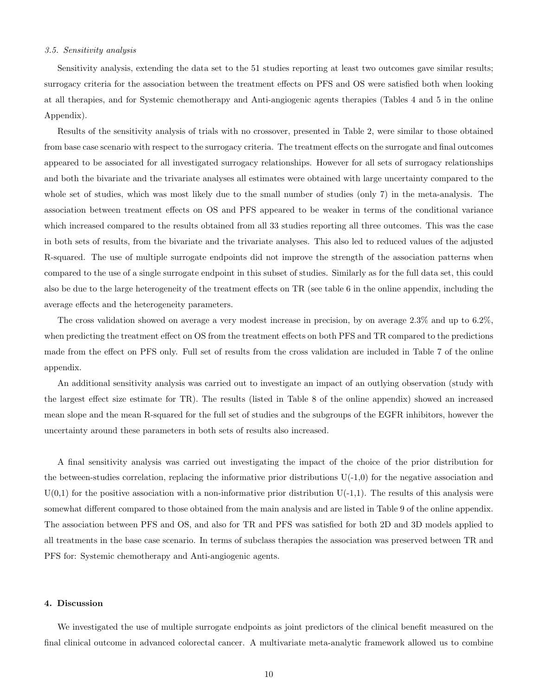#### 3.5. Sensitivity analysis

Sensitivity analysis, extending the data set to the 51 studies reporting at least two outcomes gave similar results; surrogacy criteria for the association between the treatment effects on PFS and OS were satisfied both when looking at all therapies, and for Systemic chemotherapy and Anti-angiogenic agents therapies (Tables 4 and 5 in the online Appendix).

Results of the sensitivity analysis of trials with no crossover, presented in Table 2, were similar to those obtained from base case scenario with respect to the surrogacy criteria. The treatment effects on the surrogate and final outcomes appeared to be associated for all investigated surrogacy relationships. However for all sets of surrogacy relationships and both the bivariate and the trivariate analyses all estimates were obtained with large uncertainty compared to the whole set of studies, which was most likely due to the small number of studies (only 7) in the meta-analysis. The association between treatment effects on OS and PFS appeared to be weaker in terms of the conditional variance which increased compared to the results obtained from all 33 studies reporting all three outcomes. This was the case in both sets of results, from the bivariate and the trivariate analyses. This also led to reduced values of the adjusted R-squared. The use of multiple surrogate endpoints did not improve the strength of the association patterns when compared to the use of a single surrogate endpoint in this subset of studies. Similarly as for the full data set, this could also be due to the large heterogeneity of the treatment effects on TR (see table 6 in the online appendix, including the average effects and the heterogeneity parameters.

The cross validation showed on average a very modest increase in precision, by on average 2.3% and up to 6.2%, when predicting the treatment effect on OS from the treatment effects on both PFS and TR compared to the predictions made from the effect on PFS only. Full set of results from the cross validation are included in Table 7 of the online appendix.

An additional sensitivity analysis was carried out to investigate an impact of an outlying observation (study with the largest effect size estimate for TR). The results (listed in Table 8 of the online appendix) showed an increased mean slope and the mean R-squared for the full set of studies and the subgroups of the EGFR inhibitors, however the uncertainty around these parameters in both sets of results also increased.

A final sensitivity analysis was carried out investigating the impact of the choice of the prior distribution for the between-studies correlation, replacing the informative prior distributions  $U(-1,0)$  for the negative association and  $U(0,1)$  for the positive association with a non-informative prior distribution  $U(-1,1)$ . The results of this analysis were somewhat different compared to those obtained from the main analysis and are listed in Table 9 of the online appendix. The association between PFS and OS, and also for TR and PFS was satisfied for both 2D and 3D models applied to all treatments in the base case scenario. In terms of subclass therapies the association was preserved between TR and PFS for: Systemic chemotherapy and Anti-angiogenic agents.

#### 4. Discussion

We investigated the use of multiple surrogate endpoints as joint predictors of the clinical benefit measured on the final clinical outcome in advanced colorectal cancer. A multivariate meta-analytic framework allowed us to combine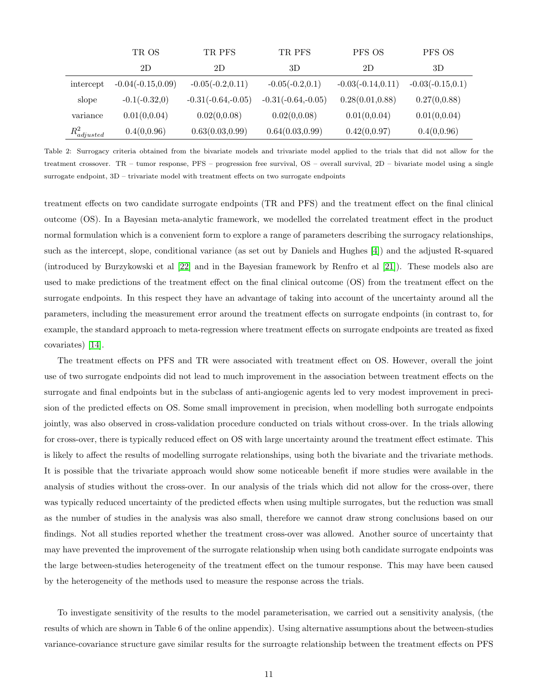|                  | TR OS                | TR PFS               | TR PFS               | PFS OS               | PFS OS              |
|------------------|----------------------|----------------------|----------------------|----------------------|---------------------|
|                  | 2D                   | 2D                   | 3D                   | 2D                   | 3D                  |
| intercept        | $-0.04(-0.15, 0.09)$ | $-0.05(-0.2, 0.11)$  | $-0.05(-0.2, 0.1)$   | $-0.03(-0.14, 0.11)$ | $-0.03(-0.15, 0.1)$ |
| slope            | $-0.1(-0.32,0)$      | $-0.31(-0.64,-0.05)$ | $-0.31(-0.64,-0.05)$ | 0.28(0.01, 0.88)     | 0.27(0,0.88)        |
| variance         | 0.01(0,0.04)         | 0.02(0,0.08)         | 0.02(0,0.08)         | 0.01(0,0.04)         | 0.01(0,0.04)        |
| $R^2_{adjusted}$ | 0.4(0,0.96)          | 0.63(0.03, 0.99)     | 0.64(0.03, 0.99)     | 0.42(0,0.97)         | 0.4(0,0.96)         |

Table 2: Surrogacy criteria obtained from the bivariate models and trivariate model applied to the trials that did not allow for the treatment crossover. TR – tumor response, PFS – progression free survival, OS – overall survival, 2D – bivariate model using a single surrogate endpoint, 3D – trivariate model with treatment effects on two surrogate endpoints

treatment effects on two candidate surrogate endpoints (TR and PFS) and the treatment effect on the final clinical outcome (OS). In a Bayesian meta-analytic framework, we modelled the correlated treatment effect in the product normal formulation which is a convenient form to explore a range of parameters describing the surrogacy relationships, such as the intercept, slope, conditional variance (as set out by Daniels and Hughes [\[4\]](#page-12-3)) and the adjusted R-squared (introduced by Burzykowski et al [\[22\]](#page-13-9) and in the Bayesian framework by Renfro et al [\[21\]](#page-13-8)). These models also are used to make predictions of the treatment effect on the final clinical outcome (OS) from the treatment effect on the surrogate endpoints. In this respect they have an advantage of taking into account of the uncertainty around all the parameters, including the measurement error around the treatment effects on surrogate endpoints (in contrast to, for example, the standard approach to meta-regression where treatment effects on surrogate endpoints are treated as fixed covariates) [\[14\]](#page-13-1).

The treatment effects on PFS and TR were associated with treatment effect on OS. However, overall the joint use of two surrogate endpoints did not lead to much improvement in the association between treatment effects on the surrogate and final endpoints but in the subclass of anti-angiogenic agents led to very modest improvement in precision of the predicted effects on OS. Some small improvement in precision, when modelling both surrogate endpoints jointly, was also observed in cross-validation procedure conducted on trials without cross-over. In the trials allowing for cross-over, there is typically reduced effect on OS with large uncertainty around the treatment effect estimate. This is likely to affect the results of modelling surrogate relationships, using both the bivariate and the trivariate methods. It is possible that the trivariate approach would show some noticeable benefit if more studies were available in the analysis of studies without the cross-over. In our analysis of the trials which did not allow for the cross-over, there was typically reduced uncertainty of the predicted effects when using multiple surrogates, but the reduction was small as the number of studies in the analysis was also small, therefore we cannot draw strong conclusions based on our findings. Not all studies reported whether the treatment cross-over was allowed. Another source of uncertainty that may have prevented the improvement of the surrogate relationship when using both candidate surrogate endpoints was the large between-studies heterogeneity of the treatment effect on the tumour response. This may have been caused by the heterogeneity of the methods used to measure the response across the trials.

To investigate sensitivity of the results to the model parameterisation, we carried out a sensitivity analysis, (the results of which are shown in Table 6 of the online appendix). Using alternative assumptions about the between-studies variance-covariance structure gave similar results for the surroagte relationship between the treatment effects on PFS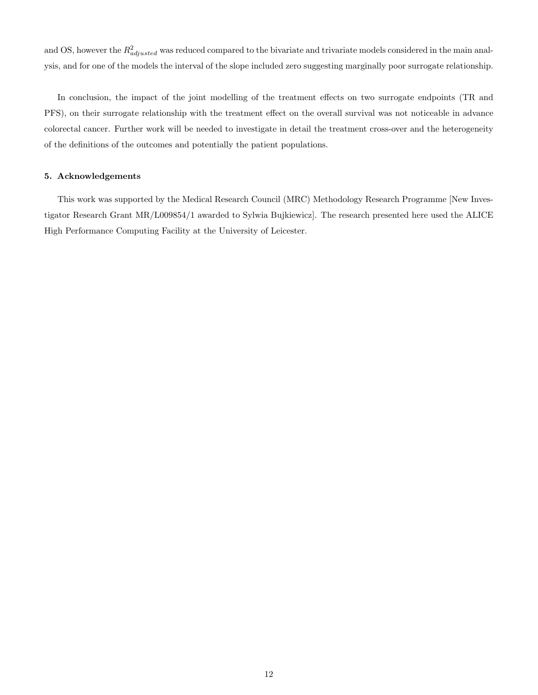and OS, however the  $R_{adjusted}^2$  was reduced compared to the bivariate and trivariate models considered in the main analysis, and for one of the models the interval of the slope included zero suggesting marginally poor surrogate relationship.

In conclusion, the impact of the joint modelling of the treatment effects on two surrogate endpoints (TR and PFS), on their surrogate relationship with the treatment effect on the overall survival was not noticeable in advance colorectal cancer. Further work will be needed to investigate in detail the treatment cross-over and the heterogeneity of the definitions of the outcomes and potentially the patient populations.

#### 5. Acknowledgements

This work was supported by the Medical Research Council (MRC) Methodology Research Programme [New Investigator Research Grant MR/L009854/1 awarded to Sylwia Bujkiewicz]. The research presented here used the ALICE High Performance Computing Facility at the University of Leicester.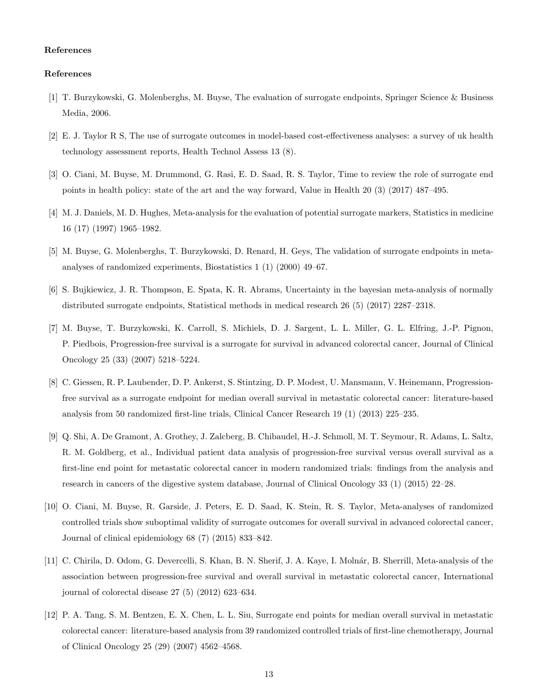#### References

#### References

- <span id="page-12-0"></span>[1] T. Burzykowski, G. Molenberghs, M. Buyse, The evaluation of surrogate endpoints, Springer Science & Business Media, 2006.
- <span id="page-12-1"></span>[2] E. J. Taylor R S, The use of surrogate outcomes in model-based cost-effectiveness analyses: a survey of uk health technology assessment reports, Health Technol Assess 13 (8).
- <span id="page-12-2"></span>[3] O. Ciani, M. Buyse, M. Drummond, G. Rasi, E. D. Saad, R. S. Taylor, Time to review the role of surrogate end points in health policy: state of the art and the way forward, Value in Health 20 (3) (2017) 487–495.
- <span id="page-12-3"></span>[4] M. J. Daniels, M. D. Hughes, Meta-analysis for the evaluation of potential surrogate markers, Statistics in medicine 16 (17) (1997) 1965–1982.
- <span id="page-12-4"></span>[5] M. Buyse, G. Molenberghs, T. Burzykowski, D. Renard, H. Geys, The validation of surrogate endpoints in metaanalyses of randomized experiments, Biostatistics 1 (1) (2000) 49–67.
- <span id="page-12-5"></span>[6] S. Bujkiewicz, J. R. Thompson, E. Spata, K. R. Abrams, Uncertainty in the bayesian meta-analysis of normally distributed surrogate endpoints, Statistical methods in medical research 26 (5) (2017) 2287–2318.
- <span id="page-12-6"></span>[7] M. Buyse, T. Burzykowski, K. Carroll, S. Michiels, D. J. Sargent, L. L. Miller, G. L. Elfring, J.-P. Pignon, P. Piedbois, Progression-free survival is a surrogate for survival in advanced colorectal cancer, Journal of Clinical Oncology 25 (33) (2007) 5218–5224.
- <span id="page-12-7"></span>[8] C. Giessen, R. P. Laubender, D. P. Ankerst, S. Stintzing, D. P. Modest, U. Mansmann, V. Heinemann, Progressionfree survival as a surrogate endpoint for median overall survival in metastatic colorectal cancer: literature-based analysis from 50 randomized first-line trials, Clinical Cancer Research 19 (1) (2013) 225–235.
- <span id="page-12-8"></span>[9] Q. Shi, A. De Gramont, A. Grothey, J. Zalcberg, B. Chibaudel, H.-J. Schmoll, M. T. Seymour, R. Adams, L. Saltz, R. M. Goldberg, et al., Individual patient data analysis of progression-free survival versus overall survival as a first-line end point for metastatic colorectal cancer in modern randomized trials: findings from the analysis and research in cancers of the digestive system database, Journal of Clinical Oncology 33 (1) (2015) 22–28.
- <span id="page-12-9"></span>[10] O. Ciani, M. Buyse, R. Garside, J. Peters, E. D. Saad, K. Stein, R. S. Taylor, Meta-analyses of randomized controlled trials show suboptimal validity of surrogate outcomes for overall survival in advanced colorectal cancer, Journal of clinical epidemiology 68 (7) (2015) 833–842.
- <span id="page-12-10"></span>[11] C. Chirila, D. Odom, G. Devercelli, S. Khan, B. N. Sherif, J. A. Kaye, I. Molnár, B. Sherrill, Meta-analysis of the association between progression-free survival and overall survival in metastatic colorectal cancer, International journal of colorectal disease 27 (5) (2012) 623–634.
- <span id="page-12-11"></span>[12] P. A. Tang, S. M. Bentzen, E. X. Chen, L. L. Siu, Surrogate end points for median overall survival in metastatic colorectal cancer: literature-based analysis from 39 randomized controlled trials of first-line chemotherapy, Journal of Clinical Oncology 25 (29) (2007) 4562–4568.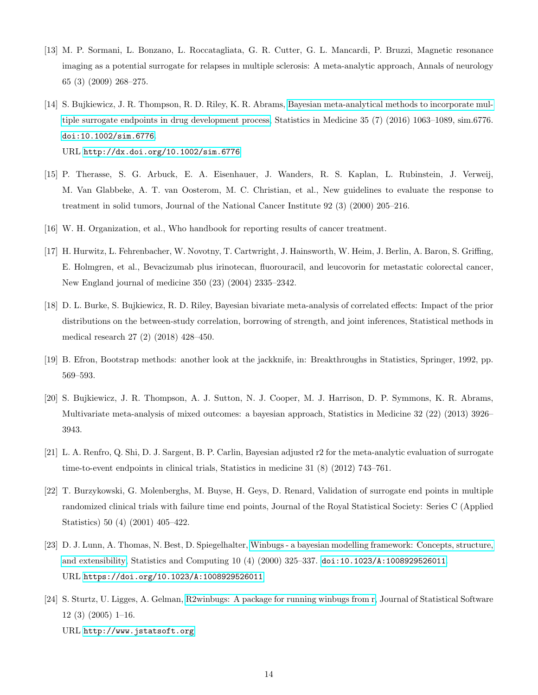- <span id="page-13-0"></span>[13] M. P. Sormani, L. Bonzano, L. Roccatagliata, G. R. Cutter, G. L. Mancardi, P. Bruzzi, Magnetic resonance imaging as a potential surrogate for relapses in multiple sclerosis: A meta-analytic approach, Annals of neurology 65 (3) (2009) 268–275.
- <span id="page-13-1"></span>[14] S. Bujkiewicz, J. R. Thompson, R. D. Riley, K. R. Abrams, [Bayesian meta-analytical methods to incorporate mul](http://dx.doi.org/10.1002/sim.6776)[tiple surrogate endpoints in drug development process,](http://dx.doi.org/10.1002/sim.6776) Statistics in Medicine 35 (7) (2016) 1063–1089, sim.6776. [doi:10.1002/sim.6776](http://dx.doi.org/10.1002/sim.6776). URL <http://dx.doi.org/10.1002/sim.6776>
- <span id="page-13-2"></span>[15] P. Therasse, S. G. Arbuck, E. A. Eisenhauer, J. Wanders, R. S. Kaplan, L. Rubinstein, J. Verweij, M. Van Glabbeke, A. T. van Oosterom, M. C. Christian, et al., New guidelines to evaluate the response to treatment in solid tumors, Journal of the National Cancer Institute 92 (3) (2000) 205–216.
- <span id="page-13-3"></span>[16] W. H. Organization, et al., Who handbook for reporting results of cancer treatment.
- <span id="page-13-4"></span>[17] H. Hurwitz, L. Fehrenbacher, W. Novotny, T. Cartwright, J. Hainsworth, W. Heim, J. Berlin, A. Baron, S. Griffing, E. Holmgren, et al., Bevacizumab plus irinotecan, fluorouracil, and leucovorin for metastatic colorectal cancer, New England journal of medicine 350 (23) (2004) 2335–2342.
- <span id="page-13-5"></span>[18] D. L. Burke, S. Bujkiewicz, R. D. Riley, Bayesian bivariate meta-analysis of correlated effects: Impact of the prior distributions on the between-study correlation, borrowing of strength, and joint inferences, Statistical methods in medical research 27 (2) (2018) 428–450.
- <span id="page-13-6"></span>[19] B. Efron, Bootstrap methods: another look at the jackknife, in: Breakthroughs in Statistics, Springer, 1992, pp. 569–593.
- <span id="page-13-7"></span>[20] S. Bujkiewicz, J. R. Thompson, A. J. Sutton, N. J. Cooper, M. J. Harrison, D. P. Symmons, K. R. Abrams, Multivariate meta-analysis of mixed outcomes: a bayesian approach, Statistics in Medicine 32 (22) (2013) 3926– 3943.
- <span id="page-13-8"></span>[21] L. A. Renfro, Q. Shi, D. J. Sargent, B. P. Carlin, Bayesian adjusted r2 for the meta-analytic evaluation of surrogate time-to-event endpoints in clinical trials, Statistics in medicine 31 (8) (2012) 743–761.
- <span id="page-13-9"></span>[22] T. Burzykowski, G. Molenberghs, M. Buyse, H. Geys, D. Renard, Validation of surrogate end points in multiple randomized clinical trials with failure time end points, Journal of the Royal Statistical Society: Series C (Applied Statistics) 50 (4) (2001) 405–422.
- <span id="page-13-10"></span>[23] D. J. Lunn, A. Thomas, N. Best, D. Spiegelhalter, [Winbugs - a bayesian modelling framework: Concepts, structure,](https://doi.org/10.1023/A:1008929526011) [and extensibility,](https://doi.org/10.1023/A:1008929526011) Statistics and Computing 10 (4) (2000) 325–337. [doi:10.1023/A:1008929526011](http://dx.doi.org/10.1023/A:1008929526011). URL <https://doi.org/10.1023/A:1008929526011>
- <span id="page-13-11"></span>[24] S. Sturtz, U. Ligges, A. Gelman, [R2winbugs: A package for running winbugs from r,](http://www.jstatsoft.org) Journal of Statistical Software 12 (3) (2005) 1–16. URL <http://www.jstatsoft.org>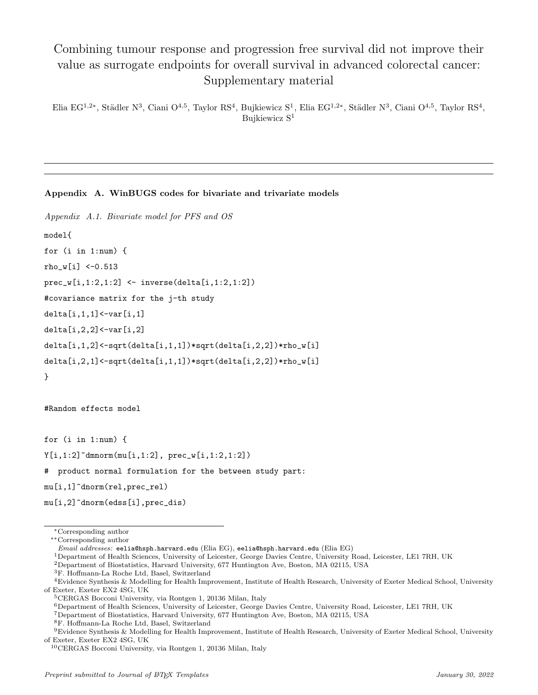# Combining tumour response and progression free survival did not improve their value as surrogate endpoints for overall survival in advanced colorectal cancer: Supplementary material

Elia EG<sup>1,2\*</sup>, Städler N<sup>3</sup>, Ciani O<sup>4,5</sup>, Taylor RS<sup>4</sup>, Bujkiewicz S<sup>1</sup>, Elia EG<sup>1,2\*</sup>, Städler N<sup>3</sup>, Ciani O<sup>4,5</sup>, Taylor RS<sup>4</sup>, Bujkiewicz S<sup>1</sup>

## Appendix A. WinBUGS codes for bivariate and trivariate models

```
Appendix A.1. Bivariate model for PFS and OS
model{
for (i in 1:num) {
rho_w[i] < -0.513prec_w[i,1:2,1:2] <- inverse(delta[i,1:2,1:2])
#covariance matrix for the j-th study
delta[i,1,1]<-var[i,1]
delta[i,2,2]<-var[i,2]
delta[i,1,2]<-sqrt(delta[i,1,1])*sqrt(delta[i,2,2])*rho_w[i]
delta[i,2,1]<-sqrt(delta[i,1,1])*sqrt(delta[i,2,2])*rho_w[i]
}
```
#Random effects model

for (i in 1:num) {  $Y[i,1:2]$ <sup> $\sim$ </sup>dmnorm(mu[i,1:2], prec\_w[i,1:2,1:2])

# product normal formulation for the between study part:

```
mu[i,1]~dnorm(rel,prec_rel)
```

```
mu[i,2]~dnorm(edss[i],prec_dis)
```

```
∗∗Corresponding author
```

```
Email addresses: eelia@hsph.harvard.edu (Elia EG), eelia@hsph.harvard.edu (Elia EG)
```
<sup>1</sup>Department of Health Sciences, University of Leicester, George Davies Centre, University Road, Leicester, LE1 7RH, UK

<sup>6</sup>Department of Health Sciences, University of Leicester, George Davies Centre, University Road, Leicester, LE1 7RH, UK

 ${\rm ^7D}$ epartment of Biostatistics, Harvard University, 677<br> Huntington Ave, Boston, MA 02115, USA

<sup>8</sup>F. Hoffmann-La Roche Ltd, Basel, Switzerland

<sup>∗</sup>Corresponding author

<sup>2</sup>Department of Biostatistics, Harvard University, 677 Huntington Ave, Boston, MA 02115, USA

 $^3\mathrm{F}.$  Hoffmann-La Roche Ltd, Basel, Switzerland

<sup>4</sup>Evidence Synthesis & Modelling for Health Improvement, Institute of Health Research, University of Exeter Medical School, University of Exeter, Exeter EX2 4SG, UK

<sup>5</sup>CERGAS Bocconi University, via Rontgen 1, 20136 Milan, Italy

 $^9$  Evidence Synthesis & Modelling for Health Improvement, Institute of Health Research, University of Exeter Medical School, University of Exeter, Exeter EX2 4SG, UK

<sup>10</sup>CERGAS Bocconi University, via Rontgen 1, 20136 Milan, Italy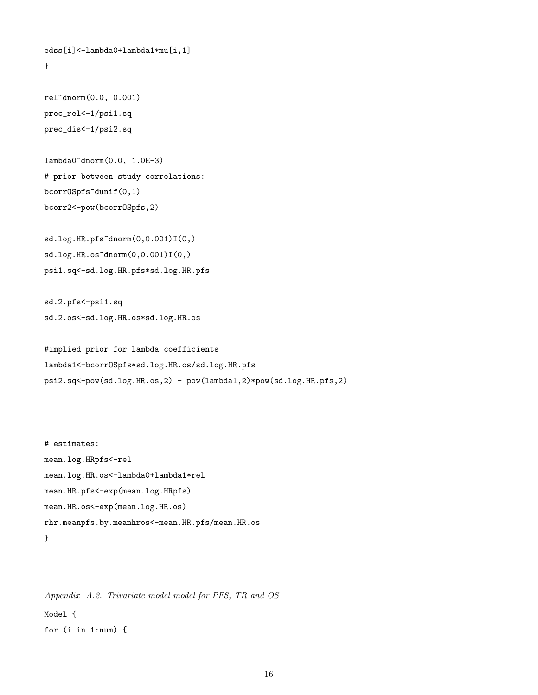```
edss[i]<-lambda0+lambda1*mu[i,1]
}
```

```
rel~dnorm(0.0, 0.001)
prec_rel<-1/psi1.sq
prec_dis<-1/psi2.sq
```

```
lambda0~dnorm(0.0, 1.0E-3)
# prior between study correlations:
bcorrOSpfs~dunif(0,1)
bcorr2<-pow(bcorrOSpfs,2)
```

```
sd.log.HR.pfs^{\sim}dnorm(0,0.001)I(0,)sd.log.HR.os<sup>2</sup>dnorm(0,0.001)I(0,)psi1.sq<-sd.log.HR.pfs*sd.log.HR.pfs
```

```
sd.2.pfs<-psi1.sq
sd.2.os<-sd.log.HR.os*sd.log.HR.os
```

```
#implied prior for lambda coefficients
lambda1<-bcorrOSpfs*sd.log.HR.os/sd.log.HR.pfs
psi2.sq<-pow(sd.log.HR.os,2) - pow(lambda1,2)*pow(sd.log.HR.pfs,2)
```

```
# estimates:
mean.log.HRpfs<-rel
mean.log.HR.os<-lambda0+lambda1*rel
mean.HR.pfs<-exp(mean.log.HRpfs)
mean.HR.os<-exp(mean.log.HR.os)
rhr.meanpfs.by.meanhros<-mean.HR.pfs/mean.HR.os
```

```
}
```

```
Appendix A.2. Trivariate model model for PFS, TR and OS
Model {
for (i in 1:num) {
```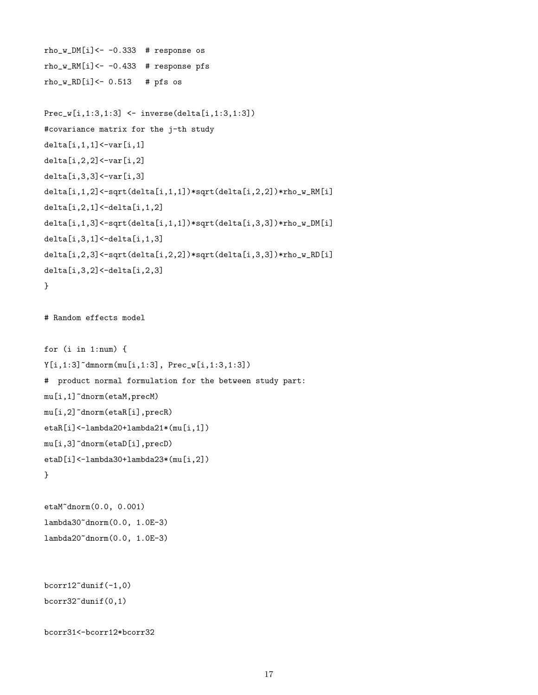```
rho_w_DM[i]<- -0.333 # response os
rho_w_RM[i]<- -0.433 # response pfs
rho_w_RD[i] <- 0.513 # pfs os
Prec_w[i,1:3,1:3] <- inverse(delta[i,1:3,1:3])
#covariance matrix for the j-th study
delta[i,1,1]<-var[i,1]
delta[i,2,2] < - var[i,2]delta[i,3,3]<-var[i,3]
delta[i,1,2]<-sqrt(delta[i,1,1])*sqrt(delta[i,2,2])*rho_w_RM[i]
delta[i,2,1]<-delta[i,1,2]
delta[i,1,3]<-sqrt(delta[i,1,1])*sqrt(delta[i,3,3])*rho_w_DM[i]
delta[i,3,1] < -delta[i,1,3]delta[i,2,3]<-sqrt(delta[i,2,2])*sqrt(delta[i,3,3])*rho_w_RD[i]
delta[i,3,2]<-delta[i,2,3]
}
# Random effects model
for (i in 1:num) {
Y[i,1:3]~dmnorm(mu[i,1:3], Prec_w[i,1:3,1:3])
# product normal formulation for the between study part:
mu[i,1]~dnorm(etaM,precM)
mu[i,2]~dnorm(etaR[i],precR)
etaR[i]<-lambda20+lambda21*(mu[i,1])
mu[i,3]~dnorm(etaD[i],precD)
etaD[i]<-lambda30+lambda23*(mu[i,2])
}
etaM~dnorm(0.0, 0.001)
lambda30~dnorm(0.0, 1.0E-3)
lambda20~dnorm(0.0, 1.0E-3)
```

```
bcorr12~dunif(-1,0)bcorr32^{\text{-}}dunif(0,1)
```

```
bcorr31<-bcorr12*bcorr32
```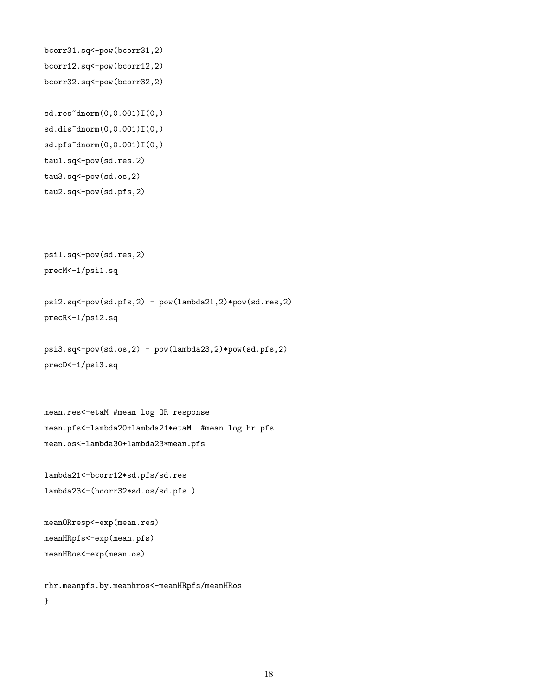```
bcorr31.sq<-pow(bcorr31,2)
bcorr12.sq<-pow(bcorr12,2)
bcorr32.sq<-pow(bcorr32,2)
```

```
sd.res^{\sim}dnorm(0,0.001)I(0,)sd.dis^{\sim}dnorm(0,0.001)I(0,)sd.pfs~dnorm(0,0.001)I(0,)
tau1.sq<-pow(sd.res,2)
tau3.sq<-pow(sd.os,2)
tau2.sq<-pow(sd.pfs,2)
```
psi1.sq<-pow(sd.res,2) precM<-1/psi1.sq

psi2.sq<-pow(sd.pfs,2) - pow(lambda21,2)\*pow(sd.res,2) precR<-1/psi2.sq

```
psi(sd.os,2) - pow(lambda23,2)*pow(sd.pfs,2)precD<-1/psi3.sq
```

```
mean.res<-etaM #mean log OR response
mean.pfs<-lambda20+lambda21*etaM #mean log hr pfs
mean.os<-lambda30+lambda23*mean.pfs
```

```
lambda21<-bcorr12*sd.pfs/sd.res
lambda23<-(bcorr32*sd.os/sd.pfs )
```

```
meanORresp<-exp(mean.res)
meanHRpfs<-exp(mean.pfs)
meanHRos<-exp(mean.os)
```

```
rhr.meanpfs.by.meanhros<-meanHRpfs/meanHRos
}
```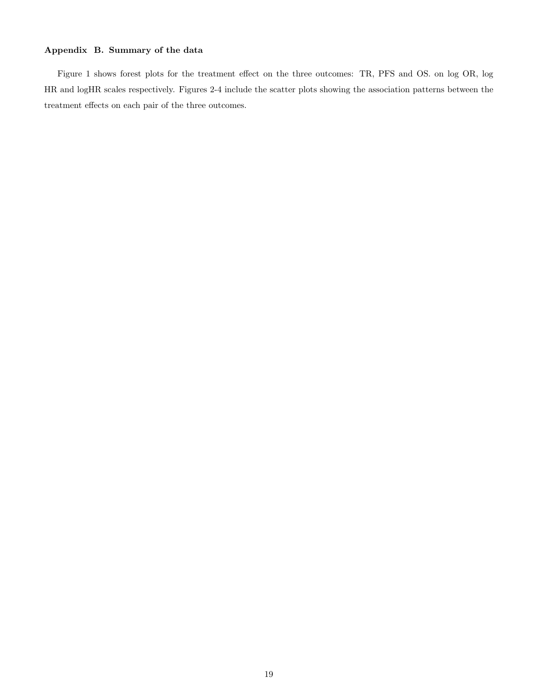## Appendix B. Summary of the data

Figure 1 shows forest plots for the treatment effect on the three outcomes: TR, PFS and OS. on log OR, log HR and logHR scales respectively. Figures 2-4 include the scatter plots showing the association patterns between the treatment effects on each pair of the three outcomes.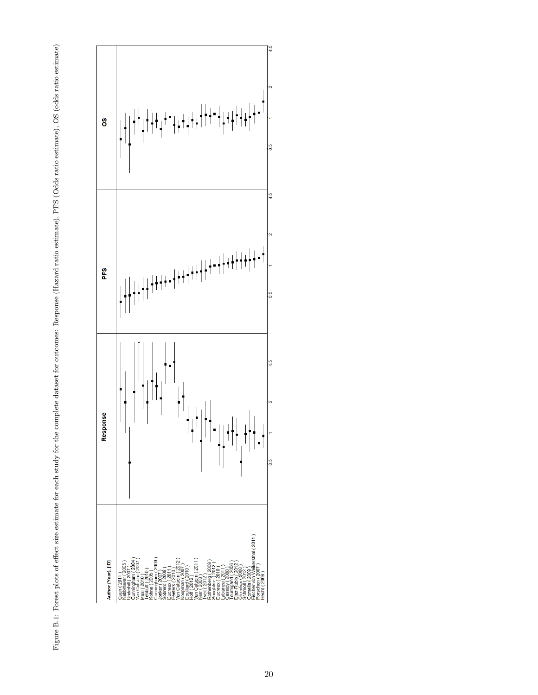

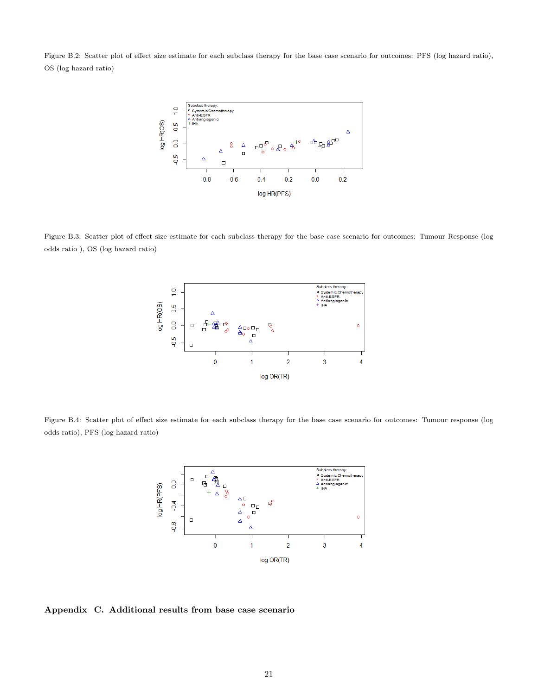Figure B.2: Scatter plot of effect size estimate for each subclass therapy for the base case scenario for outcomes: PFS (log hazard ratio), OS (log hazard ratio)



Figure B.3: Scatter plot of effect size estimate for each subclass therapy for the base case scenario for outcomes: Tumour Response (log odds ratio ), OS (log hazard ratio)



Figure B.4: Scatter plot of effect size estimate for each subclass therapy for the base case scenario for outcomes: Tumour response (log odds ratio), PFS (log hazard ratio)



Appendix C. Additional results from base case scenario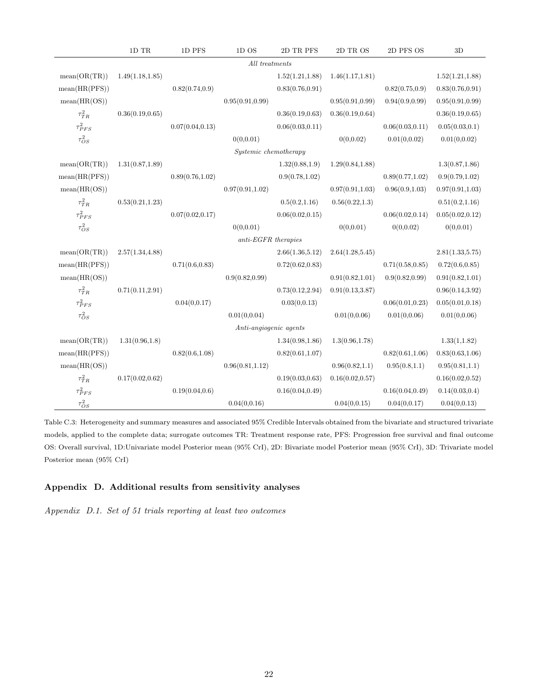|                | $1\mathrm{D}$ TR | $1\mathrm{D}$ PFS | 1DOS                   | 2D TR PFS        | 2D TR OS         | 2D PFS OS        | $3\mathrm{D}$    |  |
|----------------|------------------|-------------------|------------------------|------------------|------------------|------------------|------------------|--|
|                | All treatments   |                   |                        |                  |                  |                  |                  |  |
| mean(OR(TR))   | 1.49(1.18, 1.85) |                   |                        | 1.52(1.21, 1.88) | 1.46(1.17, 1.81) |                  | 1.52(1.21, 1.88) |  |
| mean(HR(PFS))  |                  | 0.82(0.74, 0.9)   |                        | 0.83(0.76, 0.91) |                  | 0.82(0.75, 0.9)  | 0.83(0.76, 0.91) |  |
| mean(HR(OS))   |                  |                   | 0.95(0.91, 0.99)       |                  | 0.95(0.91, 0.99) | 0.94(0.9, 0.99)  | 0.95(0.91, 0.99) |  |
| $\tau_{TR}^2$  | 0.36(0.19, 0.65) |                   |                        | 0.36(0.19, 0.63) | 0.36(0.19, 0.64) |                  | 0.36(0.19, 0.65) |  |
| $\tau_{PFS}^2$ |                  | 0.07(0.04, 0.13)  |                        | 0.06(0.03, 0.11) |                  | 0.06(0.03, 0.11) | 0.05(0.03, 0.1)  |  |
| $\tau_{OS}^2$  |                  |                   | 0(0, 0.01)             |                  | 0(0,0.02)        | 0.01(0,0.02)     | 0.01(0,0.02)     |  |
|                |                  |                   | Systemic chemotherapy  |                  |                  |                  |                  |  |
| mean(OR(TR))   | 1.31(0.87, 1.89) |                   |                        | 1.32(0.88, 1.9)  | 1.29(0.84, 1.88) |                  | 1.3(0.87, 1.86)  |  |
| mean(HR(PFS))  |                  | 0.89(0.76, 1.02)  |                        | 0.9(0.78, 1.02)  |                  | 0.89(0.77, 1.02) | 0.9(0.79, 1.02)  |  |
| mean(HR(OS))   |                  |                   | 0.97(0.91, 1.02)       |                  | 0.97(0.91, 1.03) | 0.96(0.9, 1.03)  | 0.97(0.91, 1.03) |  |
| $\tau_{TR}^2$  | 0.53(0.21, 1.23) |                   |                        | 0.5(0.2, 1.16)   | 0.56(0.22, 1.3)  |                  | 0.51(0.2, 1.16)  |  |
| $\tau_{PFS}^2$ |                  | 0.07(0.02, 0.17)  |                        | 0.06(0.02, 0.15) |                  | 0.06(0.02, 0.14) | 0.05(0.02, 0.12) |  |
| $\tau_{OS}^2$  |                  |                   | 0(0, 0.01)             |                  | 0(0,0.01)        | 0(0,0.02)        | 0(0, 0.01)       |  |
|                |                  |                   | $anti-EGFR$ therapies  |                  |                  |                  |                  |  |
| mean(OR(TR))   | 2.57(1.34, 4.88) |                   |                        | 2.66(1.36, 5.12) | 2.64(1.28, 5.45) |                  | 2.81(1.33, 5.75) |  |
| mean(HR(PFS))  |                  | 0.71(0.6, 0.83)   |                        | 0.72(0.62, 0.83) |                  | 0.71(0.58, 0.85) | 0.72(0.6, 0.85)  |  |
| mean(HR(OS))   |                  |                   | 0.9(0.82, 0.99)        |                  | 0.91(0.82, 1.01) | 0.9(0.82, 0.99)  | 0.91(0.82, 1.01) |  |
| $\tau_{TR}^2$  | 0.71(0.11, 2.91) |                   |                        | 0.73(0.12, 2.94) | 0.91(0.13, 3.87) |                  | 0.96(0.14, 3.92) |  |
| $\tau_{PFS}^2$ |                  | 0.04(0, 0.17)     |                        | 0.03(0, 0.13)    |                  | 0.06(0.01, 0.23) | 0.05(0.01, 0.18) |  |
| $\tau_{OS}^2$  |                  |                   | 0.01(0, 0.04)          |                  | 0.01(0, 0.06)    | 0.01(0, 0.06)    | 0.01(0, 0.06)    |  |
|                |                  |                   | Anti-angiogenic agents |                  |                  |                  |                  |  |
| mean(OR(TR))   | 1.31(0.96, 1.8)  |                   |                        | 1.34(0.98, 1.86) | 1.3(0.96, 1.78)  |                  | 1.33(1, 1.82)    |  |
| mean(HR(PFS))  |                  | 0.82(0.6, 1.08)   |                        | 0.82(0.61, 1.07) |                  | 0.82(0.61, 1.06) | 0.83(0.63, 1.06) |  |
| mean(HR(OS))   |                  |                   | 0.96(0.81, 1.12)       |                  | 0.96(0.82, 1.1)  | 0.95(0.8, 1.1)   | 0.95(0.81, 1.1)  |  |
| $\tau_{TR}^2$  | 0.17(0.02, 0.62) |                   |                        | 0.19(0.03, 0.63) | 0.16(0.02, 0.57) |                  | 0.16(0.02, 0.52) |  |
| $\tau_{PFS}^2$ |                  | 0.19(0.04, 0.6)   |                        | 0.16(0.04, 0.49) |                  | 0.16(0.04, 0.49) | 0.14(0.03, 0.4)  |  |
| $\tau_{OS}^2$  |                  |                   | 0.04(0, 0.16)          |                  | 0.04(0, 0.15)    | 0.04(0, 0.17)    | 0.04(0, 0.13)    |  |

Table C.3: Heterogeneity and summary measures and associated 95% Credible Intervals obtained from the bivariate and structured trivariate models, applied to the complete data; surrogate outcomes TR: Treatment response rate, PFS: Progression free survival and final outcome OS: Overall survival, 1D:Univariate model Posterior mean (95% CrI), 2D: Bivariate model Posterior mean (95% CrI), 3D: Trivariate model Posterior mean (95% CrI)

## Appendix D. Additional results from sensitivity analyses

Appendix D.1. Set of 51 trials reporting at least two outcomes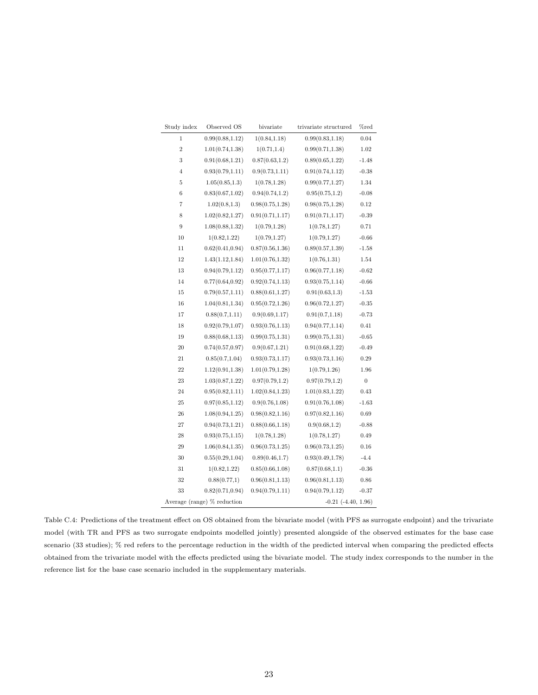| Study index    | Observed OS                 | bivariate        | trivariate structured   | %red             |
|----------------|-----------------------------|------------------|-------------------------|------------------|
| 1              | 0.99(0.88, 1.12)            | 1(0.84, 1.18)    | 0.99(0.83, 1.18)        | 0.04             |
| $\overline{2}$ | 1.01(0.74, 1.38)            | 1(0.71, 1.4)     | 0.99(0.71, 1.38)        | 1.02             |
| 3              | 0.91(0.68, 1.21)            | 0.87(0.63, 1.2)  | 0.89(0.65, 1.22)        | $-1.48$          |
| $\overline{4}$ | 0.93(0.79, 1.11)            | 0.9(0.73, 1.11)  | 0.91(0.74, 1.12)        | $-0.38$          |
| 5              | 1.05(0.85, 1.3)             | 1(0.78, 1.28)    | 0.99(0.77, 1.27)        | 1.34             |
| 6              | 0.83(0.67, 1.02)            | 0.94(0.74, 1.2)  | 0.95(0.75, 1.2)         | $-0.08$          |
| 7              | 1.02(0.8, 1.3)              | 0.98(0.75, 1.28) | 0.98(0.75, 1.28)        | 0.12             |
| 8              | 1.02(0.82, 1.27)            | 0.91(0.71, 1.17) | 0.91(0.71, 1.17)        | $-0.39$          |
| 9              | 1.08(0.88, 1.32)            | 1(0.79, 1.28)    | 1(0.78, 1.27)           | 0.71             |
| 10             | 1(0.82, 1.22)               | 1(0.79, 1.27)    | 1(0.79, 1.27)           | $-0.66$          |
| 11             | 0.62(0.41, 0.94)            | 0.87(0.56, 1.36) | 0.89(0.57, 1.39)        | $-1.58$          |
| 12             | 1.43(1.12, 1.84)            | 1.01(0.76, 1.32) | 1(0.76, 1.31)           | 1.54             |
| 13             | 0.94(0.79, 1.12)            | 0.95(0.77, 1.17) | 0.96(0.77, 1.18)        | $-0.62$          |
| 14             | 0.77(0.64, 0.92)            | 0.92(0.74, 1.13) | 0.93(0.75, 1.14)        | $-0.66$          |
| 15             | 0.79(0.57, 1.11)            | 0.88(0.61, 1.27) | 0.91(0.63, 1.3)         | $-1.53$          |
| 16             | 1.04(0.81, 1.34)            | 0.95(0.72, 1.26) | 0.96(0.72, 1.27)        | $-0.35$          |
| 17             | 0.88(0.7, 1.11)             | 0.9(0.69, 1.17)  | 0.91(0.7, 1.18)         | $-0.73$          |
| 18             | 0.92(0.79, 1.07)            | 0.93(0.76, 1.13) | 0.94(0.77, 1.14)        | 0.41             |
| 19             | 0.88(0.68, 1.13)            | 0.99(0.75, 1.31) | 0.99(0.75, 1.31)        | $-0.65$          |
| 20             | 0.74(0.57, 0.97)            | 0.9(0.67, 1.21)  | 0.91(0.68, 1.22)        | $-0.49$          |
| 21             | 0.85(0.7, 1.04)             | 0.93(0.73, 1.17) | 0.93(0.73, 1.16)        | 0.29             |
| 22             | 1.12(0.91, 1.38)            | 1.01(0.79, 1.28) | 1(0.79, 1.26)           | 1.96             |
| 23             | 1.03(0.87, 1.22)            | 0.97(0.79, 1.2)  | 0.97(0.79, 1.2)         | $\boldsymbol{0}$ |
| 24             | 0.95(0.82, 1.11)            | 1.02(0.84, 1.23) | 1.01(0.83, 1.22)        | 0.43             |
| 25             | 0.97(0.85, 1.12)            | 0.9(0.76, 1.08)  | 0.91(0.76, 1.08)        | $-1.63$          |
| 26             | 1.08(0.94, 1.25)            | 0.98(0.82, 1.16) | 0.97(0.82, 1.16)        | 0.69             |
| 27             | 0.94(0.73, 1.21)            | 0.88(0.66, 1.18) | 0.9(0.68, 1.2)          | $-0.88$          |
| 28             | 0.93(0.75, 1.15)            | 1(0.78, 1.28)    | 1(0.78, 1.27)           | 0.49             |
| 29             | 1.06(0.84, 1.35)            | 0.96(0.73, 1.25) | 0.96(0.73, 1.25)        | 0.16             |
| 30             | 0.55(0.29, 1.04)            | 0.89(0.46, 1.7)  | 0.93(0.49, 1.78)        | $-4.4$           |
| 31             | 1(0.82, 1.22)               | 0.85(0.66, 1.08) | 0.87(0.68, 1.1)         | $-0.36$          |
| 32             | 0.88(0.77,1)                | 0.96(0.81, 1.13) | 0.96(0.81, 1.13)        | $0.86\,$         |
| 33             | 0.82(0.71, 0.94)            | 0.94(0.79, 1.11) | 0.94(0.79, 1.12)        | $-0.37$          |
|                | Average (range) % reduction |                  | $-0.21$ $(-4.40, 1.96)$ |                  |

Table C.4: Predictions of the treatment effect on OS obtained from the bivariate model (with PFS as surrogate endpoint) and the trivariate model (with TR and PFS as two surrogate endpoints modelled jointly) presented alongside of the observed estimates for the base case scenario (33 studies); % red refers to the percentage reduction in the width of the predicted interval when comparing the predicted effects obtained from the trivariate model with the effects predicted using the bivariate model. The study index corresponds to the number in the reference list for the base case scenario included in the supplementary materials.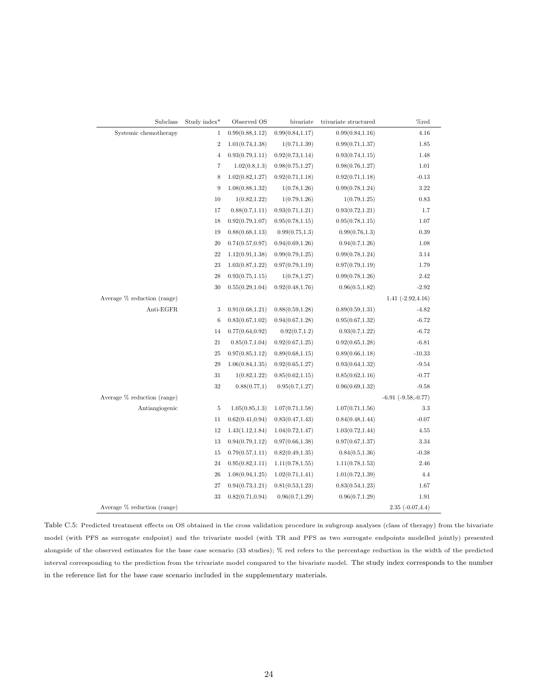| Subclass                      | Study index*   | Observed OS      | bivariate        | trivariate structured | %red                    |
|-------------------------------|----------------|------------------|------------------|-----------------------|-------------------------|
| Systemic chemotherapy         | 1              | 0.99(0.88, 1.12) | 0.99(0.84, 1.17) | 0.99(0.84, 1.16)      | 4.16                    |
|                               | $\overline{2}$ | 1.01(0.74, 1.38) | 1(0.71, 1.39)    | 0.99(0.71, 1.37)      | 1.85                    |
|                               | $\overline{4}$ | 0.93(0.79, 1.11) | 0.92(0.73, 1.14) | 0.93(0.74, 1.15)      | 1.48                    |
|                               | $\overline{7}$ | 1.02(0.8, 1.3)   | 0.98(0.75, 1.27) | 0.98(0.76, 1.27)      | 1.01                    |
|                               | 8              | 1.02(0.82, 1.27) | 0.92(0.71, 1.18) | 0.92(0.71, 1.18)      | $-0.13$                 |
|                               | 9              | 1.08(0.88, 1.32) | 1(0.78, 1.26)    | 0.99(0.78, 1.24)      | 3.22                    |
|                               | 10             | 1(0.82, 1.22)    | 1(0.79, 1.26)    | 1(0.79, 1.25)         | 0.83                    |
|                               | 17             | 0.88(0.7, 1.11)  | 0.93(0.71, 1.21) | 0.93(0.72, 1.21)      | 1.7                     |
|                               | 18             | 0.92(0.79, 1.07) | 0.95(0.78, 1.15) | 0.95(0.78, 1.15)      | 1.07                    |
|                               | 19             | 0.88(0.68, 1.13) | 0.99(0.75, 1.3)  | 0.99(0.76, 1.3)       | 0.39                    |
|                               | 20             | 0.74(0.57, 0.97) | 0.94(0.69, 1.26) | 0.94(0.7, 1.26)       | 1.08                    |
|                               | 22             | 1.12(0.91, 1.38) | 0.99(0.79, 1.25) | 0.99(0.78, 1.24)      | 3.14                    |
|                               | 23             | 1.03(0.87, 1.22) | 0.97(0.79, 1.19) | 0.97(0.79, 1.19)      | 1.79                    |
|                               | 28             | 0.93(0.75, 1.15) | 1(0.78, 1.27)    | 0.99(0.78, 1.26)      | 2.42                    |
|                               | 30             | 0.55(0.29, 1.04) | 0.92(0.48, 1.76) | 0.96(0.5, 1.82)       | $-2.92$                 |
| Average % reduction (range)   |                |                  |                  |                       | $1.41$ $(-2.92, 4.16)$  |
| Anti-EGFR                     | 3              | 0.91(0.68, 1.21) | 0.88(0.59, 1.28) | 0.89(0.59, 1.31)      | $-4.82$                 |
|                               | 6              | 0.83(0.67, 1.02) | 0.94(0.67, 1.28) | 0.95(0.67, 1.32)      | $-6.72$                 |
|                               | 14             | 0.77(0.64, 0.92) | 0.92(0.7, 1.2)   | 0.93(0.7, 1.22)       | $-6.72$                 |
|                               | 21             | 0.85(0.7, 1.04)  | 0.92(0.67, 1.25) | 0.92(0.65, 1.28)      | $-6.81$                 |
|                               | 25             | 0.97(0.85, 1.12) | 0.89(0.68, 1.15) | 0.89(0.66, 1.18)      | $-10.33$                |
|                               | 29             | 1.06(0.84, 1.35) | 0.92(0.65, 1.27) | 0.93(0.64, 1.32)      | $-9.54$                 |
|                               | 31             | 1(0.82, 1.22)    | 0.85(0.62, 1.15) | 0.85(0.62, 1.16)      | $-0.77$                 |
|                               | 32             | 0.88(0.77,1)     | 0.95(0.7, 1.27)  | 0.96(0.69, 1.32)      | $-9.58$                 |
| Average % reduction (range)   |                |                  |                  |                       | $-6.91$ $(-9.58,-0.77)$ |
| Antiangiogenic                | 5              | 1.05(0.85, 1.3)  | 1.07(0.71, 1.58) | 1.07(0.71, 1.56)      | 3.3                     |
|                               | 11             | 0.62(0.41, 0.94) | 0.83(0.47, 1.43) | 0.84(0.48, 1.44)      | $-0.07$                 |
|                               | 12             | 1.43(1.12, 1.84) | 1.04(0.72, 1.47) | 1.03(0.72, 1.44)      | 4.55                    |
|                               | 13             | 0.94(0.79, 1.12) | 0.97(0.66, 1.38) | 0.97(0.67, 1.37)      | 3.34                    |
|                               | 15             | 0.79(0.57, 1.11) | 0.82(0.49, 1.35) | 0.84(0.5, 1.36)       | $-0.38$                 |
|                               | 24             | 0.95(0.82, 1.11) | 1.11(0.78, 1.55) | 1.11(0.78, 1.53)      | 2.46                    |
|                               | 26             | 1.08(0.94, 1.25) | 1.02(0.71, 1.41) | 1.01(0.72, 1.39)      | 4.4                     |
|                               | 27             | 0.94(0.73, 1.21) | 0.81(0.53, 1.23) | 0.83(0.54, 1.23)      | 1.67                    |
|                               | 33             | 0.82(0.71, 0.94) | 0.96(0.7, 1.29)  | 0.96(0.7, 1.29)       | 1.91                    |
| Average $%$ reduction (range) |                |                  |                  |                       | $2.35(-0.07, 4.4)$      |

Table C.5: Predicted treatment effects on OS obtained in the cross validation procedure in subgroup analyses (class of therapy) from the bivariate model (with PFS as surrogate endpoint) and the trivariate model (with TR and PFS as two surrogate endpoints modelled jointly) presented alongside of the observed estimates for the base case scenario (33 studies); % red refers to the percentage reduction in the width of the predicted interval corresponding to the prediction from the trivariate model compared to the bivariate model. The study index corresponds to the number in the reference list for the base case scenario included in the supplementary materials.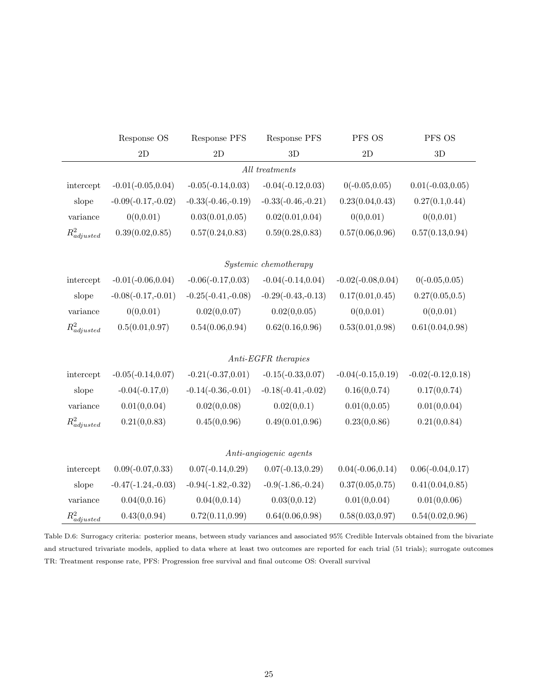|                  | Response OS          | Response PFS         | Response PFS           | PFS OS               | PFS OS               |
|------------------|----------------------|----------------------|------------------------|----------------------|----------------------|
|                  | $2\mathcal{D}$       | $2\mathcal{D}$       | 3D                     | $2\mathcal{D}$       | $3\mathrm{D}$        |
|                  |                      |                      | $All\ treatments$      |                      |                      |
| intercept        | $-0.01(-0.05, 0.04)$ | $-0.05(-0.14, 0.03)$ | $-0.04(-0.12, 0.03)$   | $0(-0.05, 0.05)$     | $0.01(-0.03, 0.05)$  |
| slope            | $-0.09(-0.17,-0.02)$ | $-0.33(-0.46,-0.19)$ | $-0.33(-0.46,-0.21)$   | 0.23(0.04, 0.43)     | 0.27(0.1, 0.44)      |
| variance         | 0(0, 0.01)           | 0.03(0.01, 0.05)     | 0.02(0.01, 0.04)       | 0(0, 0.01)           | 0(0, 0.01)           |
| $R^2_{adjusted}$ | 0.39(0.02, 0.85)     | 0.57(0.24, 0.83)     | 0.59(0.28, 0.83)       | 0.57(0.06, 0.96)     | 0.57(0.13, 0.94)     |
|                  |                      |                      | Systemic chemotherapy  |                      |                      |
| intercept        | $-0.01(-0.06, 0.04)$ | $-0.06(-0.17, 0.03)$ | $-0.04(-0.14, 0.04)$   | $-0.02(-0.08, 0.04)$ | $0(-0.05, 0.05)$     |
| slope            | $-0.08(-0.17,-0.01)$ | $-0.25(-0.41,-0.08)$ | $-0.29(-0.43,-0.13)$   | 0.17(0.01, 0.45)     | 0.27(0.05, 0.5)      |
| variance         | 0(0, 0.01)           | 0.02(0, 0.07)        | 0.02(0, 0.05)          | 0(0, 0.01)           | 0(0, 0.01)           |
| $R^2_{adjusted}$ | 0.5(0.01, 0.97)      | 0.54(0.06, 0.94)     | 0.62(0.16, 0.96)       | 0.53(0.01, 0.98)     | 0.61(0.04, 0.98)     |
|                  |                      |                      | $Anti-EGFR$ therapies  |                      |                      |
| intercept        | $-0.05(-0.14, 0.07)$ | $-0.21(-0.37, 0.01)$ | $-0.15(-0.33, 0.07)$   | $-0.04(-0.15, 0.19)$ | $-0.02(-0.12, 0.18)$ |
| slope            | $-0.04(-0.17,0)$     | $-0.14(-0.36,-0.01)$ | $-0.18(-0.41,-0.02)$   | 0.16(0, 0.74)        | 0.17(0, 0.74)        |
| variance         | 0.01(0, 0.04)        | 0.02(0, 0.08)        | 0.02(0,0.1)            | 0.01(0, 0.05)        | 0.01(0, 0.04)        |
| $R^2_{adjusted}$ | 0.21(0, 0.83)        | 0.45(0,0.96)         | 0.49(0.01, 0.96)       | 0.23(0, 0.86)        | 0.21(0, 0.84)        |
|                  |                      |                      | Anti-angiogenic agents |                      |                      |
| intercept        | $0.09(-0.07, 0.33)$  | $0.07(-0.14, 0.29)$  | $0.07(-0.13, 0.29)$    | $0.04(-0.06, 0.14)$  | $0.06(-0.04, 0.17)$  |
| slope            | $-0.47(-1.24,-0.03)$ | $-0.94(-1.82,-0.32)$ | $-0.9(-1.86,-0.24)$    | 0.37(0.05, 0.75)     | 0.41(0.04, 0.85)     |
| variance         | 0.04(0, 0.16)        | 0.04(0, 0.14)        | 0.03(0, 0.12)          | 0.01(0, 0.04)        | 0.01(0, 0.06)        |
| $R^2_{adjusted}$ | 0.43(0,0.94)         | 0.72(0.11, 0.99)     | 0.64(0.06, 0.98)       | 0.58(0.03, 0.97)     | 0.54(0.02, 0.96)     |

Table D.6: Surrogacy criteria: posterior means, between study variances and associated 95% Credible Intervals obtained from the bivariate and structured trivariate models, applied to data where at least two outcomes are reported for each trial (51 trials); surrogate outcomes TR: Treatment response rate, PFS: Progression free survival and final outcome OS: Overall survival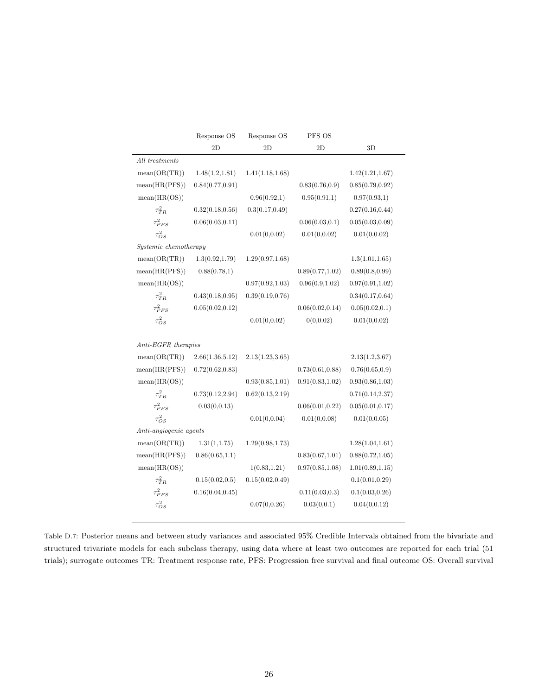|                        | Response OS      | Response OS      | PFS OS           |                  |
|------------------------|------------------|------------------|------------------|------------------|
|                        | 2D               | 2D               | 2D               | 3D               |
| All treatments         |                  |                  |                  |                  |
| mean(OR(TR))           | 1.48(1.2, 1.81)  | 1.41(1.18, 1.68) |                  | 1.42(1.21, 1.67) |
| mean(HR(PFS))          | 0.84(0.77, 0.91) |                  | 0.83(0.76, 0.9)  | 0.85(0.79, 0.92) |
| mean(HR(OS))           |                  | 0.96(0.92,1)     | 0.95(0.91,1)     | 0.97(0.93,1)     |
| $\tau^2_{TR}$          | 0.32(0.18, 0.56) | 0.3(0.17, 0.49)  |                  | 0.27(0.16, 0.44) |
| $\tau_{PFS}^2$         | 0.06(0.03, 0.11) |                  | 0.06(0.03, 0.1)  | 0.05(0.03, 0.09) |
| $\tau_{OS}^2$          |                  | 0.01(0, 0.02)    | 0.01(0, 0.02)    | 0.01(0, 0.02)    |
| Systemic chemotherapy  |                  |                  |                  |                  |
| mean(OR(TR))           | 1.3(0.92, 1.79)  | 1.29(0.97, 1.68) |                  | 1.3(1.01, 1.65)  |
| mean(HR(PFS))          | 0.88(0.78,1)     |                  | 0.89(0.77, 1.02) | 0.89(0.8, 0.99)  |
| mean(HR(OS))           |                  | 0.97(0.92, 1.03) | 0.96(0.9, 1.02)  | 0.97(0.91, 1.02) |
| $\tau_{TR}^2$          | 0.43(0.18, 0.95) | 0.39(0.19, 0.76) |                  | 0.34(0.17, 0.64) |
| $\tau_{PFS}^2$         | 0.05(0.02, 0.12) |                  | 0.06(0.02, 0.14) | 0.05(0.02, 0.1)  |
| $\tau_{OS}^2$          |                  | 0.01(0, 0.02)    | 0(0, 0.02)       | 0.01(0, 0.02)    |
|                        |                  |                  |                  |                  |
| $Anti-EGFR$ therapies  |                  |                  |                  |                  |
| mean(OR(TR))           | 2.66(1.36, 5.12) | 2.13(1.23, 3.65) |                  | 2.13(1.2,3.67)   |
| mean(HR(PFS))          | 0.72(0.62, 0.83) |                  | 0.73(0.61, 0.88) | 0.76(0.65, 0.9)  |
| mean(HR(OS))           |                  | 0.93(0.85, 1.01) | 0.91(0.83, 1.02) | 0.93(0.86, 1.03) |
| $\tau_{TR}^2$          | 0.73(0.12, 2.94) | 0.62(0.13, 2.19) |                  | 0.71(0.14, 2.37) |
| $\tau_{PFS}^2$         | 0.03(0, 0.13)    |                  | 0.06(0.01, 0.22) | 0.05(0.01, 0.17) |
| $\tau_{OS}^2$          |                  | 0.01(0, 0.04)    | 0.01(0, 0.08)    | 0.01(0, 0.05)    |
| Anti-angiogenic agents |                  |                  |                  |                  |
| mean(OR(TR))           | 1.31(1,1.75)     | 1.29(0.98, 1.73) |                  | 1.28(1.04, 1.61) |
| mean(HR(PFS))          | 0.86(0.65, 1.1)  |                  | 0.83(0.67, 1.01) | 0.88(0.72, 1.05) |
| mean(HR(OS))           |                  | 1(0.83, 1.21)    | 0.97(0.85, 1.08) | 1.01(0.89, 1.15) |
| $\tau_{TR}^2$          | 0.15(0.02, 0.5)  | 0.15(0.02, 0.49) |                  | 0.1(0.01, 0.29)  |
| $\tau_{PFS}^2$         | 0.16(0.04, 0.45) |                  | 0.11(0.03, 0.3)  | 0.1(0.03, 0.26)  |
| $\tau_{OS}^2$          |                  | 0.07(0, 0.26)    | 0.03(0, 0.1)     | 0.04(0, 0.12)    |
|                        |                  |                  |                  |                  |

Table D.7: Posterior means and between study variances and associated 95% Credible Intervals obtained from the bivariate and structured trivariate models for each subclass therapy, using data where at least two outcomes are reported for each trial (51 trials); surrogate outcomes TR: Treatment response rate, PFS: Progression free survival and final outcome OS: Overall survival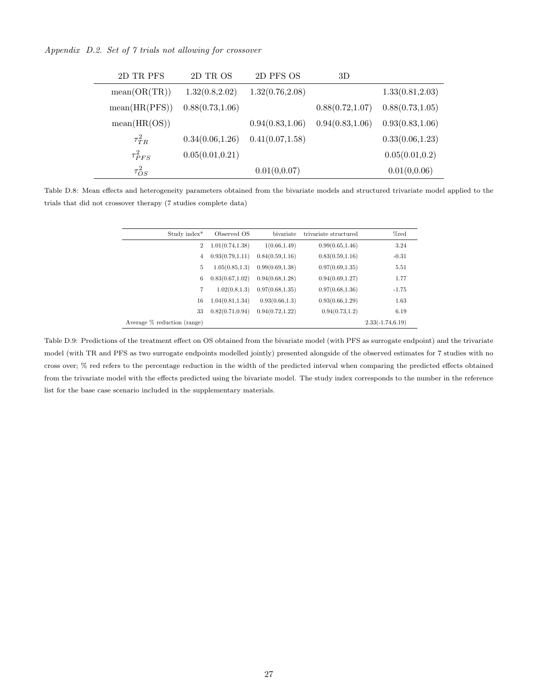Appendix D.2. Set of 7 trials not allowing for crossover

 $\overline{a}$ 

 $\overline{a}$ 

| 2D TR PFS      | 2D TR OS         | 2D PFS OS        | 3D               |                  |
|----------------|------------------|------------------|------------------|------------------|
| mean(OR(TR))   | 1.32(0.8, 2.02)  | 1.32(0.76, 2.08) |                  | 1.33(0.81, 2.03) |
| mean(HR(PFS))  | 0.88(0.73, 1.06) |                  | 0.88(0.72, 1.07) | 0.88(0.73, 1.05) |
| mean(HR(OS))   |                  | 0.94(0.83, 1.06) | 0.94(0.83, 1.06) | 0.93(0.83, 1.06) |
| $\tau_{TR}^2$  | 0.34(0.06, 1.26) | 0.41(0.07, 1.58) |                  | 0.33(0.06, 1.23) |
| $\tau_{PFS}^2$ | 0.05(0.01, 0.21) |                  |                  | 0.05(0.01, 0.2)  |
| $\tau_{OS}^2$  |                  | 0.01(0,0.07)     |                  | 0.01(0,0.06)     |

Table D.8: Mean effects and heterogeneity parameters obtained from the bivariate models and structured trivariate model applied to the trials that did not crossover therapy (7 studies complete data)

| Study index*                   | Observed OS      | bivariate        | trivariate structured | %red                |
|--------------------------------|------------------|------------------|-----------------------|---------------------|
| $\overline{2}$                 | 1.01(0.74, 1.38) | 1(0.66, 1.49)    | 0.99(0.65, 1.46)      | 3.24                |
| 4                              | 0.93(0.79, 1.11) | 0.84(0.59, 1.16) | 0.83(0.59, 1.16)      | $-0.31$             |
| 5                              | 1.05(0.85, 1.3)  | 0.99(0.69, 1.38) | 0.97(0.69, 1.35)      | 5.51                |
| 6                              | 0.83(0.67, 1.02) | 0.94(0.68, 1.28) | 0.94(0.69, 1.27)      | 1.77                |
| 7                              | 1.02(0.8, 1.3)   | 0.97(0.68, 1.35) | 0.97(0.68, 1.36)      | $-1.75$             |
| 16                             | 1.04(0.81, 1.34) | 0.93(0.66, 1.3)  | 0.93(0.66, 1.29)      | 1.63                |
| 33                             | 0.82(0.71, 0.94) | 0.94(0.72, 1.22) | 0.94(0.73, 1.2)       | 6.19                |
| Average $\%$ reduction (range) |                  |                  |                       | $2.33(-1.74, 6.19)$ |

Table D.9: Predictions of the treatment effect on OS obtained from the bivariate model (with PFS as surrogate endpoint) and the trivariate model (with TR and PFS as two surrogate endpoints modelled jointly) presented alongside of the observed estimates for 7 studies with no cross over; % red refers to the percentage reduction in the width of the predicted interval when comparing the predicted effects obtained from the trivariate model with the effects predicted using the bivariate model. The study index corresponds to the number in the reference list for the base case scenario included in the supplementary materials.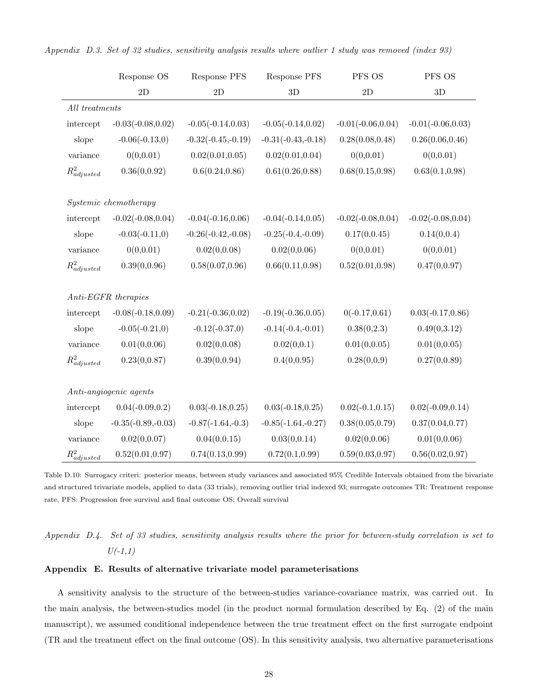|                  | Response OS            | Response PFS         | Response PFS         | PFS OS               | PFS OS               |
|------------------|------------------------|----------------------|----------------------|----------------------|----------------------|
|                  | $2\mathrm{D}$          | $2\mathrm{D}$        | 3D                   | 2D                   | 3D                   |
| All treatments   |                        |                      |                      |                      |                      |
| intercept        | $-0.03(-0.08, 0.02)$   | $-0.05(-0.14, 0.03)$ | $-0.05(-0.14, 0.02)$ | $-0.01(-0.06, 0.04)$ | $-0.01(-0.06, 0.03)$ |
| slope            | $-0.06(-0.13,0)$       | $-0.32(-0.45,-0.19)$ | $-0.31(-0.43,-0.18)$ | 0.28(0.08, 0.48)     | 0.26(0.06, 0.46)     |
| variance         | 0(0, 0.01)             | 0.02(0.01, 0.05)     | 0.02(0.01, 0.04)     | 0(0, 0.01)           | 0(0, 0.01)           |
| $R^2_{adjusted}$ | 0.36(0, 0.92)          | 0.6(0.24, 0.86)      | 0.61(0.26, 0.88)     | 0.68(0.15, 0.98)     | 0.63(0.1, 0.98)      |
|                  | Systemic chemotherapy  |                      |                      |                      |                      |
| intercept        | $-0.02(-0.08, 0.04)$   | $-0.04(-0.16, 0.06)$ | $-0.04(-0.14, 0.05)$ | $-0.02(-0.08, 0.04)$ | $-0.02(-0.08, 0.04)$ |
| slope            | $-0.03(-0.11,0)$       | $-0.26(-0.42,-0.08)$ | $-0.25(-0.4,-0.09)$  | 0.17(0, 0.45)        | 0.14(0,0.4)          |
| variance         | 0(0, 0.01)             | 0.02(0, 0.08)        | 0.02(0, 0.06)        | 0(0, 0.01)           | 0(0, 0.01)           |
| $R^2_{adjusted}$ | 0.39(0, 0.96)          | 0.58(0.07, 0.96)     | 0.66(0.11, 0.98)     | 0.52(0.01, 0.98)     | 0.47(0,0.97)         |
|                  | $Anti-EGFR$ therapies  |                      |                      |                      |                      |
| intercept        | $-0.08(-0.18, 0.09)$   | $-0.21(-0.36, 0.02)$ | $-0.19(-0.36, 0.05)$ | $0(-0.17, 0.61)$     | $0.03(-0.17, 0.86)$  |
| slope            | $-0.05(-0.21,0)$       | $-0.12(-0.37,0)$     | $-0.14(-0.4,-0.01)$  | 0.38(0, 2.3)         | 0.49(0,3.12)         |
| variance         | 0.01(0, 0.06)          | 0.02(0, 0.08)        | 0.02(0,0.1)          | 0.01(0, 0.05)        | 0.01(0, 0.05)        |
| $R^2_{adjusted}$ | 0.23(0, 0.87)          | 0.39(0, 0.94)        | 0.4(0, 0.95)         | 0.28(0,0.9)          | 0.27(0, 0.89)        |
|                  | Anti-angiogenic agents |                      |                      |                      |                      |
| intercept        | $0.04(-0.09, 0.2)$     | $0.03(-0.18, 0.25)$  | $0.03(-0.18, 0.25)$  | $0.02(-0.1, 0.15)$   | $0.02(-0.09, 0.14)$  |
| slope            | $-0.35(-0.89,-0.03)$   | $-0.87(-1.64,-0.3)$  | $-0.85(-1.64,-0.27)$ | 0.38(0.05, 0.79)     | 0.37(0.04, 0.77)     |
| variance         | 0.02(0, 0.07)          | 0.04(0, 0.15)        | 0.03(0, 0.14)        | 0.02(0, 0.06)        | 0.01(0, 0.06)        |
| $R^2_{adjusted}$ | 0.52(0.01, 0.97)       | 0.74(0.13, 0.99)     | 0.72(0.1, 0.99)      | 0.59(0.03, 0.97)     | 0.56(0.02, 0.97)     |

Appendix D.3. Set of 32 studies, sensitivity analysis results where outlier 1 study was removed (index 93)

Table D.10: Surrogacy criteri: posterior means, between study variances and associated 95% Credible Intervals obtained from the bivariate and structured trivariate models, applied to data (33 trials), removing outlier trial indexed 93; surrogate outcomes TR: Treatment response rate, PFS: Progression free survival and final outcome OS: Overall survival

# Appendix D.4. Set of 33 studies, sensitivity analysis results where the prior for between-study correlation is set to  $U(-1,1)$

### Appendix E. Results of alternative trivariate model parameterisations

A sensitivity analysis to the structure of the between-studies variance-covariance matrix, was carried out. In the main analysis, the between-studies model (in the product normal formulation described by Eq. (2) of the main manuscript), we assumed conditional independence between the true treatment effect on the first surrogate endpoint (TR and the treatment effect on the final outcome (OS). In this sensitivity analysis, two alternative parameterisations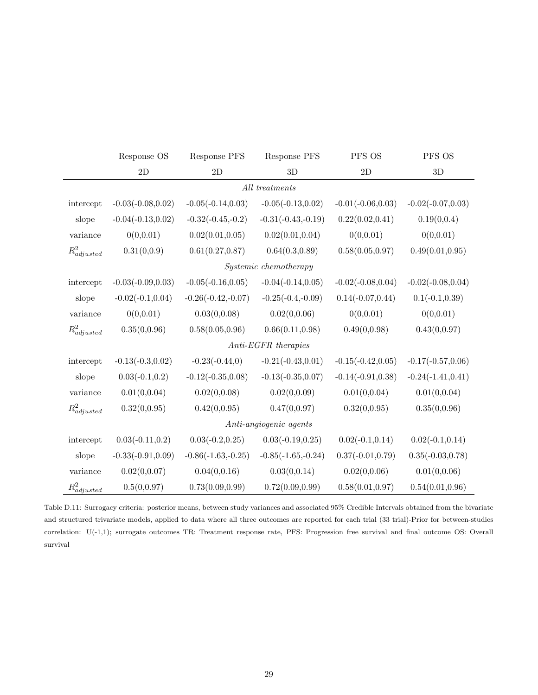|                  | Response OS          | Response PFS         | <b>Response PFS</b>    | PFS OS               | PFS OS               |
|------------------|----------------------|----------------------|------------------------|----------------------|----------------------|
|                  | $2\mathrm{D}$        | 2D                   | 3D                     | $2\mathrm{D}$        | 3D                   |
|                  |                      |                      | $All\ treatments$      |                      |                      |
| intercept        | $-0.03(-0.08, 0.02)$ | $-0.05(-0.14, 0.03)$ | $-0.05(-0.13, 0.02)$   | $-0.01(-0.06, 0.03)$ | $-0.02(-0.07, 0.03)$ |
| slope            | $-0.04(-0.13, 0.02)$ | $-0.32(-0.45,-0.2)$  | $-0.31(-0.43,-0.19)$   | 0.22(0.02, 0.41)     | 0.19(0,0.4)          |
| variance         | 0(0, 0.01)           | 0.02(0.01, 0.05)     | 0.02(0.01, 0.04)       | 0(0, 0.01)           | 0(0, 0.01)           |
| $R^2_{adjusted}$ | 0.31(0,0.9)          | 0.61(0.27, 0.87)     | 0.64(0.3, 0.89)        | 0.58(0.05, 0.97)     | 0.49(0.01, 0.95)     |
|                  |                      |                      | Systemic chemotherapy  |                      |                      |
| intercept        | $-0.03(-0.09, 0.03)$ | $-0.05(-0.16, 0.05)$ | $-0.04(-0.14, 0.05)$   | $-0.02(-0.08, 0.04)$ | $-0.02(-0.08, 0.04)$ |
| slope            | $-0.02(-0.1, 0.04)$  | $-0.26(-0.42,-0.07)$ | $-0.25(-0.4,-0.09)$    | $0.14(-0.07, 0.44)$  | $0.1(-0.1, 0.39)$    |
| variance         | 0(0, 0.01)           | 0.03(0,0.08)         | 0.02(0, 0.06)          | 0(0, 0.01)           | 0(0, 0.01)           |
| $R^2_{adjusted}$ | 0.35(0,0.96)         | 0.58(0.05, 0.96)     | 0.66(0.11, 0.98)       | 0.49(0,0.98)         | 0.43(0,0.97)         |
|                  |                      |                      | $Anti-EGFR$ therapies  |                      |                      |
| intercept        | $-0.13(-0.3, 0.02)$  | $-0.23(-0.44,0)$     | $-0.21(-0.43, 0.01)$   | $-0.15(-0.42, 0.05)$ | $-0.17(-0.57, 0.06)$ |
| slope            | $0.03(-0.1, 0.2)$    | $-0.12(-0.35, 0.08)$ | $-0.13(-0.35, 0.07)$   | $-0.14(-0.91, 0.38)$ | $-0.24(-1.41, 0.41)$ |
| variance         | 0.01(0, 0.04)        | 0.02(0,0.08)         | 0.02(0, 0.09)          | 0.01(0, 0.04)        | 0.01(0, 0.04)        |
| $R^2_{adjusted}$ | 0.32(0, 0.95)        | 0.42(0,0.95)         | 0.47(0,0.97)           | 0.32(0, 0.95)        | 0.35(0,0.96)         |
|                  |                      |                      | Anti-angiogenic agents |                      |                      |
| intercept        | $0.03(-0.11, 0.2)$   | $0.03(-0.2, 0.25)$   | $0.03(-0.19, 0.25)$    | $0.02(-0.1, 0.14)$   | $0.02(-0.1, 0.14)$   |
| slope            | $-0.33(-0.91, 0.09)$ | $-0.86(-1.63,-0.25)$ | $-0.85(-1.65,-0.24)$   | $0.37(-0.01, 0.79)$  | $0.35(-0.03, 0.78)$  |
| variance         | 0.02(0, 0.07)        | 0.04(0, 0.16)        | 0.03(0, 0.14)          | 0.02(0, 0.06)        | 0.01(0, 0.06)        |
| $R^2_{adjusted}$ | 0.5(0, 0.97)         | 0.73(0.09, 0.99)     | 0.72(0.09, 0.99)       | 0.58(0.01, 0.97)     | 0.54(0.01, 0.96)     |

Table D.11: Surrogacy criteria: posterior means, between study variances and associated 95% Credible Intervals obtained from the bivariate and structured trivariate models, applied to data where all three outcomes are reported for each trial (33 trial)-Prior for between-studies correlation: U(-1,1); surrogate outcomes TR: Treatment response rate, PFS: Progression free survival and final outcome OS: Overall survival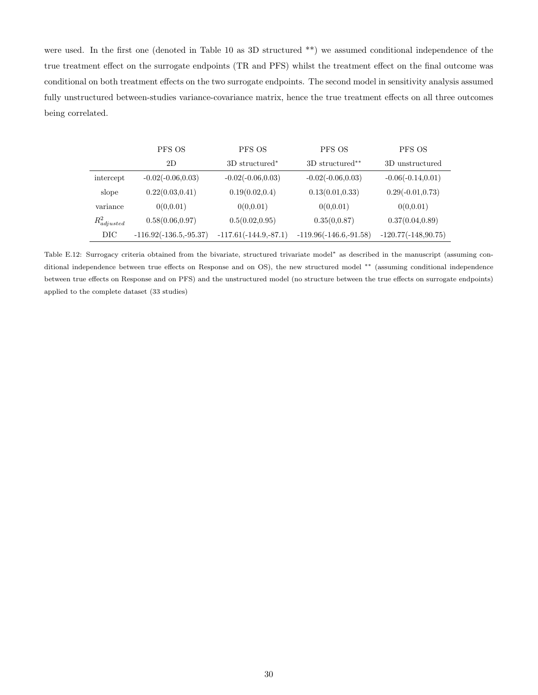were used. In the first one (denoted in Table 10 as 3D structured \*\*) we assumed conditional independence of the true treatment effect on the surrogate endpoints (TR and PFS) whilst the treatment effect on the final outcome was conditional on both treatment effects on the two surrogate endpoints. The second model in sensitivity analysis assumed fully unstructured between-studies variance-covariance matrix, hence the true treatment effects on all three outcomes being correlated.

|                  | PFS OS                   | PFS OS                  | PFS OS                   | PFS OS                |
|------------------|--------------------------|-------------------------|--------------------------|-----------------------|
|                  | 2D                       | 3D structured*          | 3D structured**          | 3D unstructured       |
| intercept        | $-0.02(-0.06, 0.03)$     | $-0.02(-0.06, 0.03)$    | $-0.02(-0.06, 0.03)$     | $-0.06(-0.14, 0.01)$  |
| slope            | 0.22(0.03, 0.41)         | 0.19(0.02, 0.4)         | 0.13(0.01, 0.33)         | $0.29(-0.01, 0.73)$   |
| variance         | 0(0,0.01)                | 0(0,0.01)               | 0(0,0.01)                | 0(0,0.01)             |
| $R^2_{adjusted}$ | 0.58(0.06, 0.97)         | 0.5(0.02, 0.95)         | 0.35(0,0.87)             | 0.37(0.04, 0.89)      |
| DIC              | $-116.92(-136.5,-95.37)$ | $-117.61(-144.9,-87.1)$ | $-119.96(-146.6,-91.58)$ | $-120.77(-148,90.75)$ |

Table E.12: Surrogacy criteria obtained from the bivariate, structured trivariate model<sup>∗</sup> as described in the manuscript (assuming conditional independence between true effects on Response and on OS), the new structured model ∗∗ (assuming conditional independence between true effects on Response and on PFS) and the unstructured model (no structure between the true effects on surrogate endpoints) applied to the complete dataset (33 studies)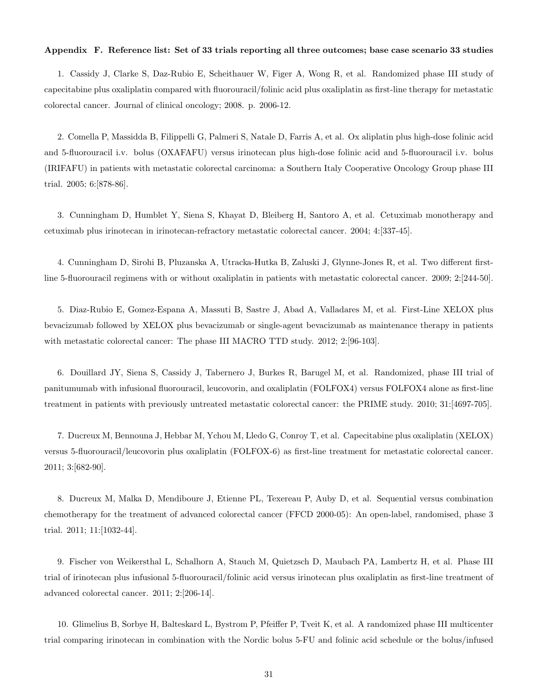#### Appendix F. Reference list: Set of 33 trials reporting all three outcomes; base case scenario 33 studies

1. Cassidy J, Clarke S, Daz-Rubio E, Scheithauer W, Figer A, Wong R, et al. Randomized phase III study of capecitabine plus oxaliplatin compared with fluorouracil/folinic acid plus oxaliplatin as first-line therapy for metastatic colorectal cancer. Journal of clinical oncology; 2008. p. 2006-12.

2. Comella P, Massidda B, Filippelli G, Palmeri S, Natale D, Farris A, et al. Ox aliplatin plus high-dose folinic acid and 5-fluorouracil i.v. bolus (OXAFAFU) versus irinotecan plus high-dose folinic acid and 5-fluorouracil i.v. bolus (IRIFAFU) in patients with metastatic colorectal carcinoma: a Southern Italy Cooperative Oncology Group phase III trial. 2005; 6:[878-86].

3. Cunningham D, Humblet Y, Siena S, Khayat D, Bleiberg H, Santoro A, et al. Cetuximab monotherapy and cetuximab plus irinotecan in irinotecan-refractory metastatic colorectal cancer. 2004; 4:[337-45].

4. Cunningham D, Sirohi B, Pluzanska A, Utracka-Hutka B, Zaluski J, Glynne-Jones R, et al. Two different firstline 5-fluorouracil regimens with or without oxaliplatin in patients with metastatic colorectal cancer. 2009; 2:[244-50].

5. Diaz-Rubio E, Gomez-Espana A, Massuti B, Sastre J, Abad A, Valladares M, et al. First-Line XELOX plus bevacizumab followed by XELOX plus bevacizumab or single-agent bevacizumab as maintenance therapy in patients with metastatic colorectal cancer: The phase III MACRO TTD study. 2012; 2:[96-103].

6. Douillard JY, Siena S, Cassidy J, Tabernero J, Burkes R, Barugel M, et al. Randomized, phase III trial of panitumumab with infusional fluorouracil, leucovorin, and oxaliplatin (FOLFOX4) versus FOLFOX4 alone as first-line treatment in patients with previously untreated metastatic colorectal cancer: the PRIME study. 2010; 31:[4697-705].

7. Ducreux M, Bennouna J, Hebbar M, Ychou M, Lledo G, Conroy T, et al. Capecitabine plus oxaliplatin (XELOX) versus 5-fluorouracil/leucovorin plus oxaliplatin (FOLFOX-6) as first-line treatment for metastatic colorectal cancer. 2011; 3:[682-90].

8. Ducreux M, Malka D, Mendiboure J, Etienne PL, Texereau P, Auby D, et al. Sequential versus combination chemotherapy for the treatment of advanced colorectal cancer (FFCD 2000-05): An open-label, randomised, phase 3 trial. 2011; 11:[1032-44].

9. Fischer von Weikersthal L, Schalhorn A, Stauch M, Quietzsch D, Maubach PA, Lambertz H, et al. Phase III trial of irinotecan plus infusional 5-fluorouracil/folinic acid versus irinotecan plus oxaliplatin as first-line treatment of advanced colorectal cancer. 2011; 2:[206-14].

10. Glimelius B, Sorbye H, Balteskard L, Bystrom P, Pfeiffer P, Tveit K, et al. A randomized phase III multicenter trial comparing irinotecan in combination with the Nordic bolus 5-FU and folinic acid schedule or the bolus/infused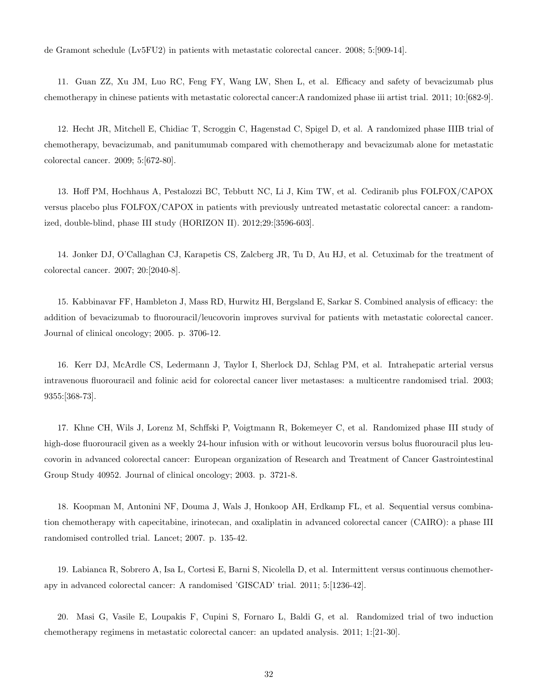de Gramont schedule (Lv5FU2) in patients with metastatic colorectal cancer. 2008; 5:[909-14].

11. Guan ZZ, Xu JM, Luo RC, Feng FY, Wang LW, Shen L, et al. Efficacy and safety of bevacizumab plus chemotherapy in chinese patients with metastatic colorectal cancer:A randomized phase iii artist trial. 2011; 10:[682-9].

12. Hecht JR, Mitchell E, Chidiac T, Scroggin C, Hagenstad C, Spigel D, et al. A randomized phase IIIB trial of chemotherapy, bevacizumab, and panitumumab compared with chemotherapy and bevacizumab alone for metastatic colorectal cancer. 2009; 5:[672-80].

13. Hoff PM, Hochhaus A, Pestalozzi BC, Tebbutt NC, Li J, Kim TW, et al. Cediranib plus FOLFOX/CAPOX versus placebo plus FOLFOX/CAPOX in patients with previously untreated metastatic colorectal cancer: a randomized, double-blind, phase III study (HORIZON II). 2012;29:[3596-603].

14. Jonker DJ, O'Callaghan CJ, Karapetis CS, Zalcberg JR, Tu D, Au HJ, et al. Cetuximab for the treatment of colorectal cancer. 2007; 20:[2040-8].

15. Kabbinavar FF, Hambleton J, Mass RD, Hurwitz HI, Bergsland E, Sarkar S. Combined analysis of efficacy: the addition of bevacizumab to fluorouracil/leucovorin improves survival for patients with metastatic colorectal cancer. Journal of clinical oncology; 2005. p. 3706-12.

16. Kerr DJ, McArdle CS, Ledermann J, Taylor I, Sherlock DJ, Schlag PM, et al. Intrahepatic arterial versus intravenous fluorouracil and folinic acid for colorectal cancer liver metastases: a multicentre randomised trial. 2003; 9355:[368-73].

17. Khne CH, Wils J, Lorenz M, Schffski P, Voigtmann R, Bokemeyer C, et al. Randomized phase III study of high-dose fluorouracil given as a weekly 24-hour infusion with or without leucovorin versus bolus fluorouracil plus leucovorin in advanced colorectal cancer: European organization of Research and Treatment of Cancer Gastrointestinal Group Study 40952. Journal of clinical oncology; 2003. p. 3721-8.

18. Koopman M, Antonini NF, Douma J, Wals J, Honkoop AH, Erdkamp FL, et al. Sequential versus combination chemotherapy with capecitabine, irinotecan, and oxaliplatin in advanced colorectal cancer (CAIRO): a phase III randomised controlled trial. Lancet; 2007. p. 135-42.

19. Labianca R, Sobrero A, Isa L, Cortesi E, Barni S, Nicolella D, et al. Intermittent versus continuous chemotherapy in advanced colorectal cancer: A randomised 'GISCAD' trial. 2011; 5:[1236-42].

20. Masi G, Vasile E, Loupakis F, Cupini S, Fornaro L, Baldi G, et al. Randomized trial of two induction chemotherapy regimens in metastatic colorectal cancer: an updated analysis. 2011; 1:[21-30].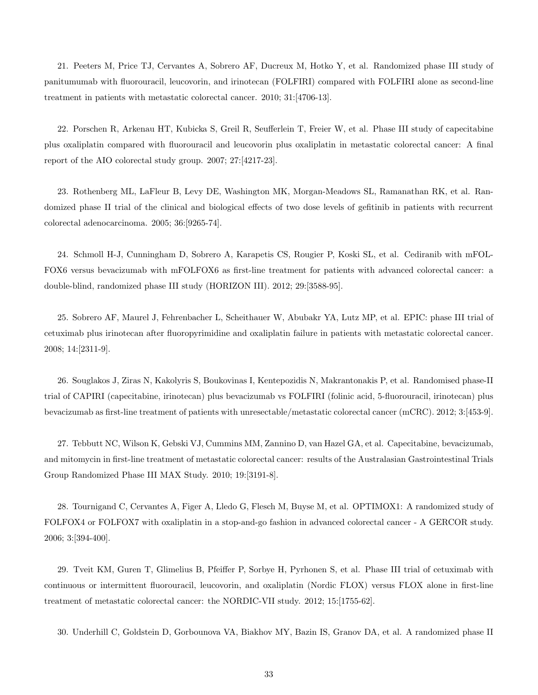21. Peeters M, Price TJ, Cervantes A, Sobrero AF, Ducreux M, Hotko Y, et al. Randomized phase III study of panitumumab with fluorouracil, leucovorin, and irinotecan (FOLFIRI) compared with FOLFIRI alone as second-line treatment in patients with metastatic colorectal cancer. 2010; 31:[4706-13].

22. Porschen R, Arkenau HT, Kubicka S, Greil R, Seufferlein T, Freier W, et al. Phase III study of capecitabine plus oxaliplatin compared with fluorouracil and leucovorin plus oxaliplatin in metastatic colorectal cancer: A final report of the AIO colorectal study group. 2007; 27:[4217-23].

23. Rothenberg ML, LaFleur B, Levy DE, Washington MK, Morgan-Meadows SL, Ramanathan RK, et al. Randomized phase II trial of the clinical and biological effects of two dose levels of gefitinib in patients with recurrent colorectal adenocarcinoma. 2005; 36:[9265-74].

24. Schmoll H-J, Cunningham D, Sobrero A, Karapetis CS, Rougier P, Koski SL, et al. Cediranib with mFOL-FOX6 versus bevacizumab with mFOLFOX6 as first-line treatment for patients with advanced colorectal cancer: a double-blind, randomized phase III study (HORIZON III). 2012; 29:[3588-95].

25. Sobrero AF, Maurel J, Fehrenbacher L, Scheithauer W, Abubakr YA, Lutz MP, et al. EPIC: phase III trial of cetuximab plus irinotecan after fluoropyrimidine and oxaliplatin failure in patients with metastatic colorectal cancer. 2008; 14:[2311-9].

26. Souglakos J, Ziras N, Kakolyris S, Boukovinas I, Kentepozidis N, Makrantonakis P, et al. Randomised phase-II trial of CAPIRI (capecitabine, irinotecan) plus bevacizumab vs FOLFIRI (folinic acid, 5-fluorouracil, irinotecan) plus bevacizumab as first-line treatment of patients with unresectable/metastatic colorectal cancer (mCRC). 2012; 3:[453-9].

27. Tebbutt NC, Wilson K, Gebski VJ, Cummins MM, Zannino D, van Hazel GA, et al. Capecitabine, bevacizumab, and mitomycin in first-line treatment of metastatic colorectal cancer: results of the Australasian Gastrointestinal Trials Group Randomized Phase III MAX Study. 2010; 19:[3191-8].

28. Tournigand C, Cervantes A, Figer A, Lledo G, Flesch M, Buyse M, et al. OPTIMOX1: A randomized study of FOLFOX4 or FOLFOX7 with oxaliplatin in a stop-and-go fashion in advanced colorectal cancer - A GERCOR study. 2006; 3:[394-400].

29. Tveit KM, Guren T, Glimelius B, Pfeiffer P, Sorbye H, Pyrhonen S, et al. Phase III trial of cetuximab with continuous or intermittent fluorouracil, leucovorin, and oxaliplatin (Nordic FLOX) versus FLOX alone in first-line treatment of metastatic colorectal cancer: the NORDIC-VII study. 2012; 15:[1755-62].

30. Underhill C, Goldstein D, Gorbounova VA, Biakhov MY, Bazin IS, Granov DA, et al. A randomized phase II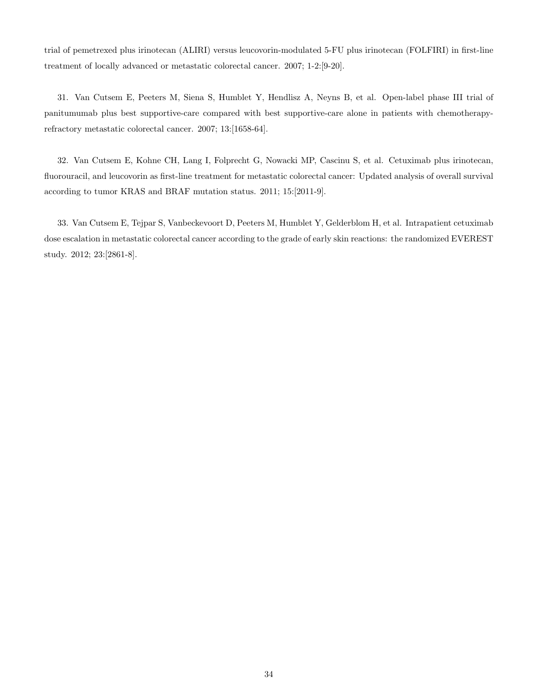trial of pemetrexed plus irinotecan (ALIRI) versus leucovorin-modulated 5-FU plus irinotecan (FOLFIRI) in first-line treatment of locally advanced or metastatic colorectal cancer. 2007; 1-2:[9-20].

31. Van Cutsem E, Peeters M, Siena S, Humblet Y, Hendlisz A, Neyns B, et al. Open-label phase III trial of panitumumab plus best supportive-care compared with best supportive-care alone in patients with chemotherapyrefractory metastatic colorectal cancer. 2007; 13:[1658-64].

32. Van Cutsem E, Kohne CH, Lang I, Folprecht G, Nowacki MP, Cascinu S, et al. Cetuximab plus irinotecan, fluorouracil, and leucovorin as first-line treatment for metastatic colorectal cancer: Updated analysis of overall survival according to tumor KRAS and BRAF mutation status. 2011; 15:[2011-9].

33. Van Cutsem E, Tejpar S, Vanbeckevoort D, Peeters M, Humblet Y, Gelderblom H, et al. Intrapatient cetuximab dose escalation in metastatic colorectal cancer according to the grade of early skin reactions: the randomized EVEREST study. 2012; 23:[2861-8].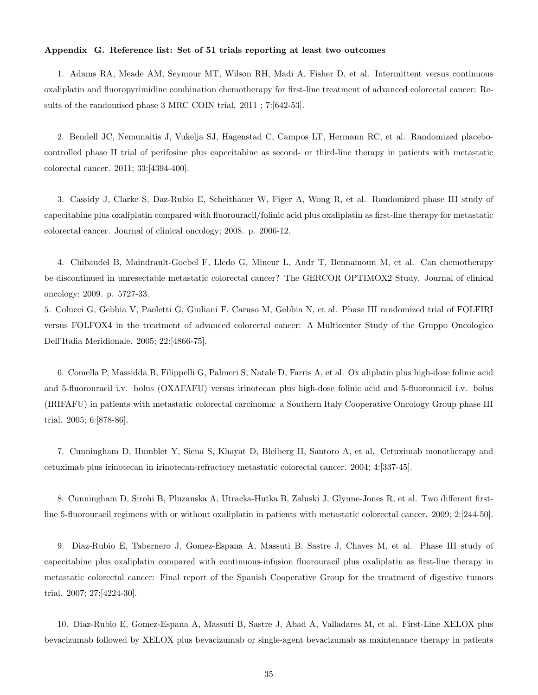#### Appendix G. Reference list: Set of 51 trials reporting at least two outcomes

1. Adams RA, Meade AM, Seymour MT, Wilson RH, Madi A, Fisher D, et al. Intermittent versus continuous oxaliplatin and fluoropyrimidine combination chemotherapy for first-line treatment of advanced colorectal cancer: Results of the randomised phase 3 MRC COIN trial. 2011 ; 7:[642-53].

2. Bendell JC, Nemunaitis J, Vukelja SJ, Hagenstad C, Campos LT, Hermann RC, et al. Randomized placebocontrolled phase II trial of perifosine plus capecitabine as second- or third-line therapy in patients with metastatic colorectal cancer. 2011; 33:[4394-400].

3. Cassidy J, Clarke S, Daz-Rubio E, Scheithauer W, Figer A, Wong R, et al. Randomized phase III study of capecitabine plus oxaliplatin compared with fluorouracil/folinic acid plus oxaliplatin as first-line therapy for metastatic colorectal cancer. Journal of clinical oncology; 2008. p. 2006-12.

4. Chibaudel B, Maindrault-Goebel F, Lledo G, Mineur L, Andr T, Bennamoun M, et al. Can chemotherapy be discontinued in unresectable metastatic colorectal cancer? The GERCOR OPTIMOX2 Study. Journal of clinical oncology; 2009. p. 5727-33.

5. Colucci G, Gebbia V, Paoletti G, Giuliani F, Caruso M, Gebbia N, et al. Phase III randomized trial of FOLFIRI versus FOLFOX4 in the treatment of advanced colorectal cancer: A Multicenter Study of the Gruppo Oncologico Dell'Italia Meridionale. 2005; 22:[4866-75].

6. Comella P, Massidda B, Filippelli G, Palmeri S, Natale D, Farris A, et al. Ox aliplatin plus high-dose folinic acid and 5-fluorouracil i.v. bolus (OXAFAFU) versus irinotecan plus high-dose folinic acid and 5-fluorouracil i.v. bolus (IRIFAFU) in patients with metastatic colorectal carcinoma: a Southern Italy Cooperative Oncology Group phase III trial. 2005; 6:[878-86].

7. Cunningham D, Humblet Y, Siena S, Khayat D, Bleiberg H, Santoro A, et al. Cetuximab monotherapy and cetuximab plus irinotecan in irinotecan-refractory metastatic colorectal cancer. 2004; 4:[337-45].

8. Cunningham D, Sirohi B, Pluzanska A, Utracka-Hutka B, Zaluski J, Glynne-Jones R, et al. Two different firstline 5-fluorouracil regimens with or without oxaliplatin in patients with metastatic colorectal cancer. 2009; 2:[244-50].

9. Diaz-Rubio E, Tabernero J, Gomez-Espana A, Massuti B, Sastre J, Chaves M, et al. Phase III study of capecitabine plus oxaliplatin compared with continuous-infusion fluorouracil plus oxaliplatin as first-line therapy in metastatic colorectal cancer: Final report of the Spanish Cooperative Group for the treatment of digestive tumors trial. 2007; 27:[4224-30].

10. Diaz-Rubio E, Gomez-Espana A, Massuti B, Sastre J, Abad A, Valladares M, et al. First-Line XELOX plus bevacizumab followed by XELOX plus bevacizumab or single-agent bevacizumab as maintenance therapy in patients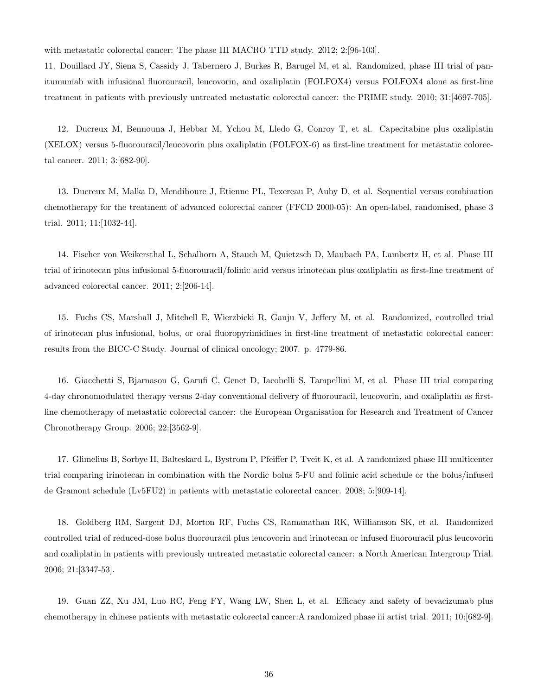with metastatic colorectal cancer: The phase III MACRO TTD study. 2012; 2:[96-103].

11. Douillard JY, Siena S, Cassidy J, Tabernero J, Burkes R, Barugel M, et al. Randomized, phase III trial of panitumumab with infusional fluorouracil, leucovorin, and oxaliplatin (FOLFOX4) versus FOLFOX4 alone as first-line treatment in patients with previously untreated metastatic colorectal cancer: the PRIME study. 2010; 31:[4697-705].

12. Ducreux M, Bennouna J, Hebbar M, Ychou M, Lledo G, Conroy T, et al. Capecitabine plus oxaliplatin (XELOX) versus 5-fluorouracil/leucovorin plus oxaliplatin (FOLFOX-6) as first-line treatment for metastatic colorectal cancer. 2011; 3:[682-90].

13. Ducreux M, Malka D, Mendiboure J, Etienne PL, Texereau P, Auby D, et al. Sequential versus combination chemotherapy for the treatment of advanced colorectal cancer (FFCD 2000-05): An open-label, randomised, phase 3 trial. 2011; 11:[1032-44].

14. Fischer von Weikersthal L, Schalhorn A, Stauch M, Quietzsch D, Maubach PA, Lambertz H, et al. Phase III trial of irinotecan plus infusional 5-fluorouracil/folinic acid versus irinotecan plus oxaliplatin as first-line treatment of advanced colorectal cancer. 2011; 2:[206-14].

15. Fuchs CS, Marshall J, Mitchell E, Wierzbicki R, Ganju V, Jeffery M, et al. Randomized, controlled trial of irinotecan plus infusional, bolus, or oral fluoropyrimidines in first-line treatment of metastatic colorectal cancer: results from the BICC-C Study. Journal of clinical oncology; 2007. p. 4779-86.

16. Giacchetti S, Bjarnason G, Garufi C, Genet D, Iacobelli S, Tampellini M, et al. Phase III trial comparing 4-day chronomodulated therapy versus 2-day conventional delivery of fluorouracil, leucovorin, and oxaliplatin as firstline chemotherapy of metastatic colorectal cancer: the European Organisation for Research and Treatment of Cancer Chronotherapy Group. 2006; 22:[3562-9].

17. Glimelius B, Sorbye H, Balteskard L, Bystrom P, Pfeiffer P, Tveit K, et al. A randomized phase III multicenter trial comparing irinotecan in combination with the Nordic bolus 5-FU and folinic acid schedule or the bolus/infused de Gramont schedule (Lv5FU2) in patients with metastatic colorectal cancer. 2008; 5:[909-14].

18. Goldberg RM, Sargent DJ, Morton RF, Fuchs CS, Ramanathan RK, Williamson SK, et al. Randomized controlled trial of reduced-dose bolus fluorouracil plus leucovorin and irinotecan or infused fluorouracil plus leucovorin and oxaliplatin in patients with previously untreated metastatic colorectal cancer: a North American Intergroup Trial. 2006; 21:[3347-53].

19. Guan ZZ, Xu JM, Luo RC, Feng FY, Wang LW, Shen L, et al. Efficacy and safety of bevacizumab plus chemotherapy in chinese patients with metastatic colorectal cancer:A randomized phase iii artist trial. 2011; 10:[682-9].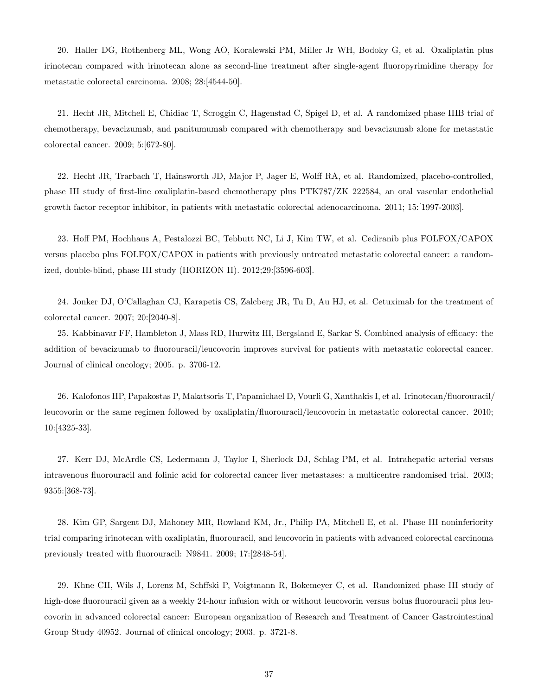20. Haller DG, Rothenberg ML, Wong AO, Koralewski PM, Miller Jr WH, Bodoky G, et al. Oxaliplatin plus irinotecan compared with irinotecan alone as second-line treatment after single-agent fluoropyrimidine therapy for metastatic colorectal carcinoma. 2008; 28:[4544-50].

21. Hecht JR, Mitchell E, Chidiac T, Scroggin C, Hagenstad C, Spigel D, et al. A randomized phase IIIB trial of chemotherapy, bevacizumab, and panitumumab compared with chemotherapy and bevacizumab alone for metastatic colorectal cancer. 2009; 5:[672-80].

22. Hecht JR, Trarbach T, Hainsworth JD, Major P, Jager E, Wolff RA, et al. Randomized, placebo-controlled, phase III study of first-line oxaliplatin-based chemotherapy plus PTK787/ZK 222584, an oral vascular endothelial growth factor receptor inhibitor, in patients with metastatic colorectal adenocarcinoma. 2011; 15:[1997-2003].

23. Hoff PM, Hochhaus A, Pestalozzi BC, Tebbutt NC, Li J, Kim TW, et al. Cediranib plus FOLFOX/CAPOX versus placebo plus FOLFOX/CAPOX in patients with previously untreated metastatic colorectal cancer: a randomized, double-blind, phase III study (HORIZON II). 2012;29:[3596-603].

24. Jonker DJ, O'Callaghan CJ, Karapetis CS, Zalcberg JR, Tu D, Au HJ, et al. Cetuximab for the treatment of colorectal cancer. 2007; 20:[2040-8].

25. Kabbinavar FF, Hambleton J, Mass RD, Hurwitz HI, Bergsland E, Sarkar S. Combined analysis of efficacy: the addition of bevacizumab to fluorouracil/leucovorin improves survival for patients with metastatic colorectal cancer. Journal of clinical oncology; 2005. p. 3706-12.

26. Kalofonos HP, Papakostas P, Makatsoris T, Papamichael D, Vourli G, Xanthakis I, et al. Irinotecan/fluorouracil/ leucovorin or the same regimen followed by oxaliplatin/fluorouracil/leucovorin in metastatic colorectal cancer. 2010; 10:[4325-33].

27. Kerr DJ, McArdle CS, Ledermann J, Taylor I, Sherlock DJ, Schlag PM, et al. Intrahepatic arterial versus intravenous fluorouracil and folinic acid for colorectal cancer liver metastases: a multicentre randomised trial. 2003; 9355:[368-73].

28. Kim GP, Sargent DJ, Mahoney MR, Rowland KM, Jr., Philip PA, Mitchell E, et al. Phase III noninferiority trial comparing irinotecan with oxaliplatin, fluorouracil, and leucovorin in patients with advanced colorectal carcinoma previously treated with fluorouracil: N9841. 2009; 17:[2848-54].

29. Khne CH, Wils J, Lorenz M, Schffski P, Voigtmann R, Bokemeyer C, et al. Randomized phase III study of high-dose fluorouracil given as a weekly 24-hour infusion with or without leucovorin versus bolus fluorouracil plus leucovorin in advanced colorectal cancer: European organization of Research and Treatment of Cancer Gastrointestinal Group Study 40952. Journal of clinical oncology; 2003. p. 3721-8.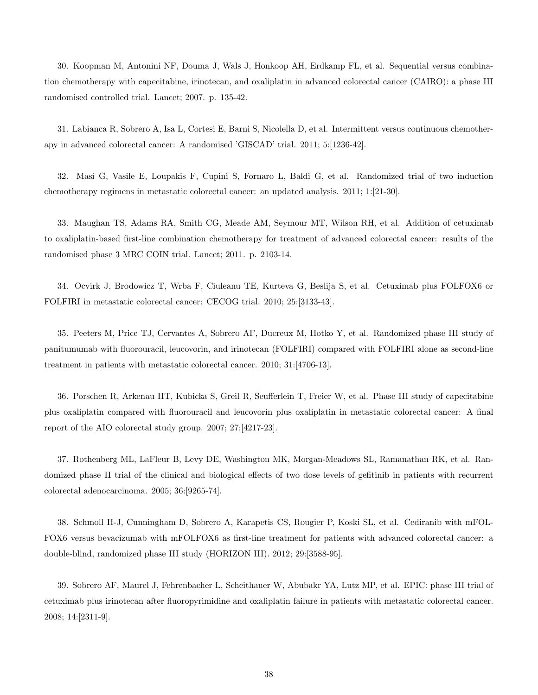30. Koopman M, Antonini NF, Douma J, Wals J, Honkoop AH, Erdkamp FL, et al. Sequential versus combination chemotherapy with capecitabine, irinotecan, and oxaliplatin in advanced colorectal cancer (CAIRO): a phase III randomised controlled trial. Lancet; 2007. p. 135-42.

31. Labianca R, Sobrero A, Isa L, Cortesi E, Barni S, Nicolella D, et al. Intermittent versus continuous chemotherapy in advanced colorectal cancer: A randomised 'GISCAD' trial. 2011; 5:[1236-42].

32. Masi G, Vasile E, Loupakis F, Cupini S, Fornaro L, Baldi G, et al. Randomized trial of two induction chemotherapy regimens in metastatic colorectal cancer: an updated analysis. 2011; 1:[21-30].

33. Maughan TS, Adams RA, Smith CG, Meade AM, Seymour MT, Wilson RH, et al. Addition of cetuximab to oxaliplatin-based first-line combination chemotherapy for treatment of advanced colorectal cancer: results of the randomised phase 3 MRC COIN trial. Lancet; 2011. p. 2103-14.

34. Ocvirk J, Brodowicz T, Wrba F, Ciuleanu TE, Kurteva G, Beslija S, et al. Cetuximab plus FOLFOX6 or FOLFIRI in metastatic colorectal cancer: CECOG trial. 2010; 25:[3133-43].

35. Peeters M, Price TJ, Cervantes A, Sobrero AF, Ducreux M, Hotko Y, et al. Randomized phase III study of panitumumab with fluorouracil, leucovorin, and irinotecan (FOLFIRI) compared with FOLFIRI alone as second-line treatment in patients with metastatic colorectal cancer. 2010; 31:[4706-13].

36. Porschen R, Arkenau HT, Kubicka S, Greil R, Seufferlein T, Freier W, et al. Phase III study of capecitabine plus oxaliplatin compared with fluorouracil and leucovorin plus oxaliplatin in metastatic colorectal cancer: A final report of the AIO colorectal study group. 2007; 27:[4217-23].

37. Rothenberg ML, LaFleur B, Levy DE, Washington MK, Morgan-Meadows SL, Ramanathan RK, et al. Randomized phase II trial of the clinical and biological effects of two dose levels of gefitinib in patients with recurrent colorectal adenocarcinoma. 2005; 36:[9265-74].

38. Schmoll H-J, Cunningham D, Sobrero A, Karapetis CS, Rougier P, Koski SL, et al. Cediranib with mFOL-FOX6 versus bevacizumab with mFOLFOX6 as first-line treatment for patients with advanced colorectal cancer: a double-blind, randomized phase III study (HORIZON III). 2012; 29:[3588-95].

39. Sobrero AF, Maurel J, Fehrenbacher L, Scheithauer W, Abubakr YA, Lutz MP, et al. EPIC: phase III trial of cetuximab plus irinotecan after fluoropyrimidine and oxaliplatin failure in patients with metastatic colorectal cancer. 2008; 14:[2311-9].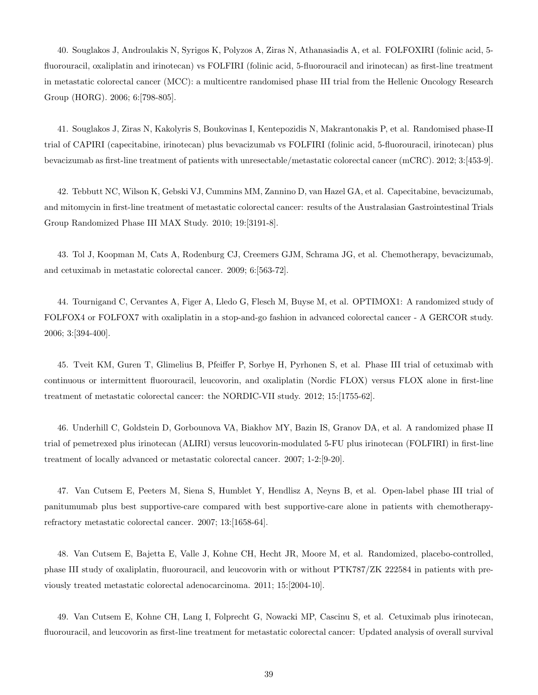40. Souglakos J, Androulakis N, Syrigos K, Polyzos A, Ziras N, Athanasiadis A, et al. FOLFOXIRI (folinic acid, 5 fluorouracil, oxaliplatin and irinotecan) vs FOLFIRI (folinic acid, 5-fluorouracil and irinotecan) as first-line treatment in metastatic colorectal cancer (MCC): a multicentre randomised phase III trial from the Hellenic Oncology Research Group (HORG). 2006; 6:[798-805].

41. Souglakos J, Ziras N, Kakolyris S, Boukovinas I, Kentepozidis N, Makrantonakis P, et al. Randomised phase-II trial of CAPIRI (capecitabine, irinotecan) plus bevacizumab vs FOLFIRI (folinic acid, 5-fluorouracil, irinotecan) plus bevacizumab as first-line treatment of patients with unresectable/metastatic colorectal cancer (mCRC). 2012; 3:[453-9].

42. Tebbutt NC, Wilson K, Gebski VJ, Cummins MM, Zannino D, van Hazel GA, et al. Capecitabine, bevacizumab, and mitomycin in first-line treatment of metastatic colorectal cancer: results of the Australasian Gastrointestinal Trials Group Randomized Phase III MAX Study. 2010; 19:[3191-8].

43. Tol J, Koopman M, Cats A, Rodenburg CJ, Creemers GJM, Schrama JG, et al. Chemotherapy, bevacizumab, and cetuximab in metastatic colorectal cancer. 2009; 6:[563-72].

44. Tournigand C, Cervantes A, Figer A, Lledo G, Flesch M, Buyse M, et al. OPTIMOX1: A randomized study of FOLFOX4 or FOLFOX7 with oxaliplatin in a stop-and-go fashion in advanced colorectal cancer - A GERCOR study. 2006; 3:[394-400].

45. Tveit KM, Guren T, Glimelius B, Pfeiffer P, Sorbye H, Pyrhonen S, et al. Phase III trial of cetuximab with continuous or intermittent fluorouracil, leucovorin, and oxaliplatin (Nordic FLOX) versus FLOX alone in first-line treatment of metastatic colorectal cancer: the NORDIC-VII study. 2012; 15:[1755-62].

46. Underhill C, Goldstein D, Gorbounova VA, Biakhov MY, Bazin IS, Granov DA, et al. A randomized phase II trial of pemetrexed plus irinotecan (ALIRI) versus leucovorin-modulated 5-FU plus irinotecan (FOLFIRI) in first-line treatment of locally advanced or metastatic colorectal cancer. 2007; 1-2:[9-20].

47. Van Cutsem E, Peeters M, Siena S, Humblet Y, Hendlisz A, Neyns B, et al. Open-label phase III trial of panitumumab plus best supportive-care compared with best supportive-care alone in patients with chemotherapyrefractory metastatic colorectal cancer. 2007; 13:[1658-64].

48. Van Cutsem E, Bajetta E, Valle J, Kohne CH, Hecht JR, Moore M, et al. Randomized, placebo-controlled, phase III study of oxaliplatin, fluorouracil, and leucovorin with or without PTK787/ZK 222584 in patients with previously treated metastatic colorectal adenocarcinoma. 2011; 15:[2004-10].

49. Van Cutsem E, Kohne CH, Lang I, Folprecht G, Nowacki MP, Cascinu S, et al. Cetuximab plus irinotecan, fluorouracil, and leucovorin as first-line treatment for metastatic colorectal cancer: Updated analysis of overall survival